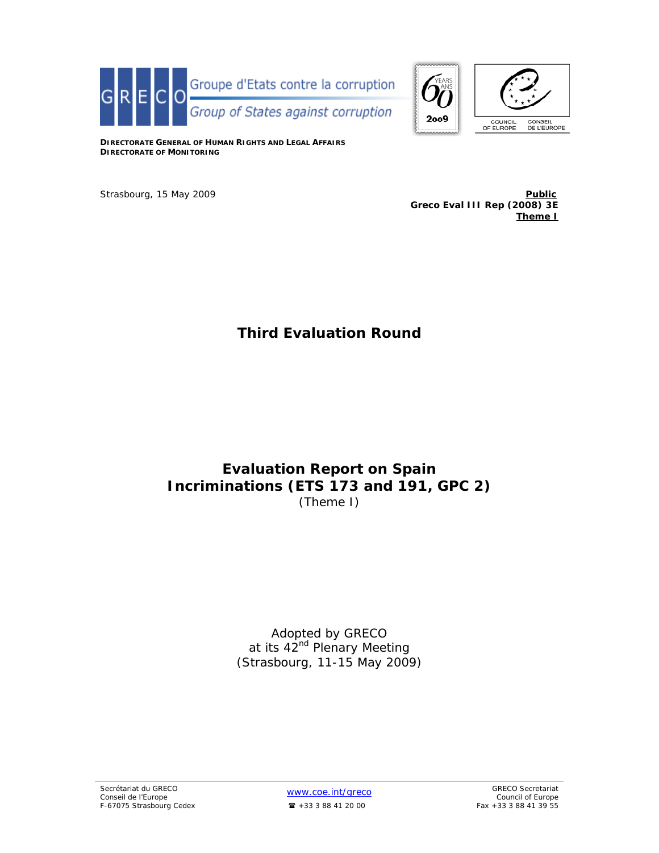



**DIRECTORATE GENERAL OF HUMAN RIGHTS AND LEGAL AFFAIRS DIRECTORATE OF MONITORING**

Strasbourg, 15 May 2009 **Public Public Public Public Greco Eval III Rep (2008) 3E Theme I**

# **Third Evaluation Round**

# **Evaluation Report on Spain Incriminations (ETS 173 and 191, GPC 2)**  (Theme I)

Adopted by GRECO at its 42<sup>nd</sup> Plenary Meeting (Strasbourg, 11-15 May 2009)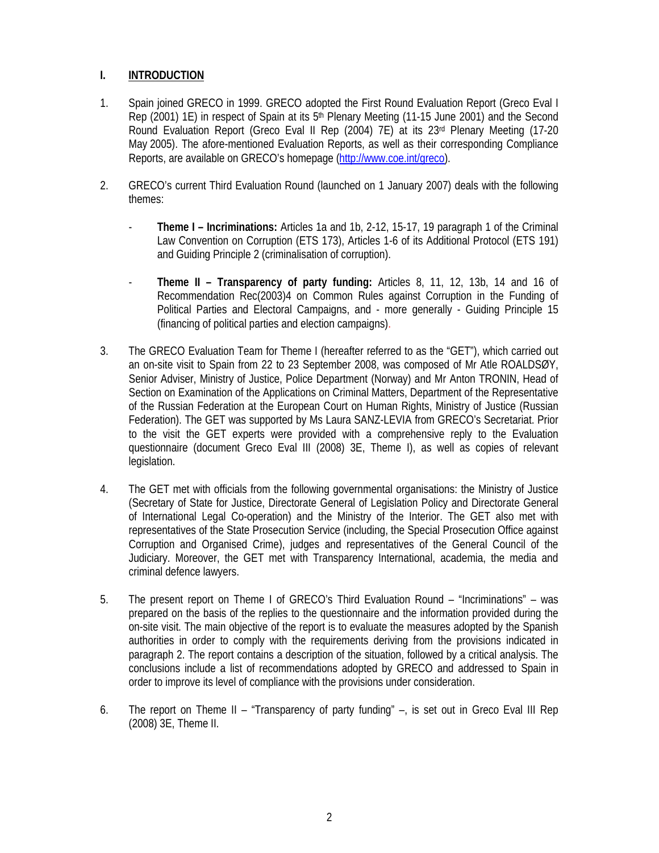# **I. INTRODUCTION**

- 1. Spain joined GRECO in 1999. GRECO adopted the First Round Evaluation Report (Greco Eval I Rep (2001) 1E) in respect of Spain at its 5th Plenary Meeting (11-15 June 2001) and the Second Round Evaluation Report (Greco Eval II Rep (2004) 7E) at its 23rd Plenary Meeting (17-20 May 2005). The afore-mentioned Evaluation Reports, as well as their corresponding Compliance Reports, are available on GRECO's homepage (http://www.coe.int/greco).
- 2. GRECO's current Third Evaluation Round (launched on 1 January 2007) deals with the following themes:
	- **Theme I Incriminations:** Articles 1a and 1b, 2-12, 15-17, 19 paragraph 1 of the Criminal Law Convention on Corruption (ETS 173), Articles 1-6 of its Additional Protocol (ETS 191) and Guiding Principle 2 (criminalisation of corruption).
	- **Theme II Transparency of party funding:** Articles 8, 11, 12, 13b, 14 and 16 of Recommendation Rec(2003)4 on Common Rules against Corruption in the Funding of Political Parties and Electoral Campaigns, and - more generally - Guiding Principle 15 (financing of political parties and election campaigns).
- 3. The GRECO Evaluation Team for Theme I (hereafter referred to as the "GET"), which carried out an on-site visit to Spain from 22 to 23 September 2008, was composed of Mr Atle ROALDSØY, Senior Adviser, Ministry of Justice, Police Department (Norway) and Mr Anton TRONIN, Head of Section on Examination of the Applications on Criminal Matters, Department of the Representative of the Russian Federation at the European Court on Human Rights, Ministry of Justice (Russian Federation). The GET was supported by Ms Laura SANZ-LEVIA from GRECO's Secretariat. Prior to the visit the GET experts were provided with a comprehensive reply to the Evaluation questionnaire (document Greco Eval III (2008) 3E, Theme I), as well as copies of relevant legislation.
- 4. The GET met with officials from the following governmental organisations: the Ministry of Justice (Secretary of State for Justice, Directorate General of Legislation Policy and Directorate General of International Legal Co-operation) and the Ministry of the Interior. The GET also met with representatives of the State Prosecution Service (including, the Special Prosecution Office against Corruption and Organised Crime), judges and representatives of the General Council of the Judiciary. Moreover, the GET met with Transparency International, academia, the media and criminal defence lawyers.
- 5. The present report on Theme I of GRECO's Third Evaluation Round "Incriminations" was prepared on the basis of the replies to the questionnaire and the information provided during the on-site visit. The main objective of the report is to evaluate the measures adopted by the Spanish authorities in order to comply with the requirements deriving from the provisions indicated in paragraph 2. The report contains a description of the situation, followed by a critical analysis. The conclusions include a list of recommendations adopted by GRECO and addressed to Spain in order to improve its level of compliance with the provisions under consideration.
- 6. The report on Theme II "Transparency of party funding" –, is set out in Greco Eval III Rep (2008) 3E, Theme II.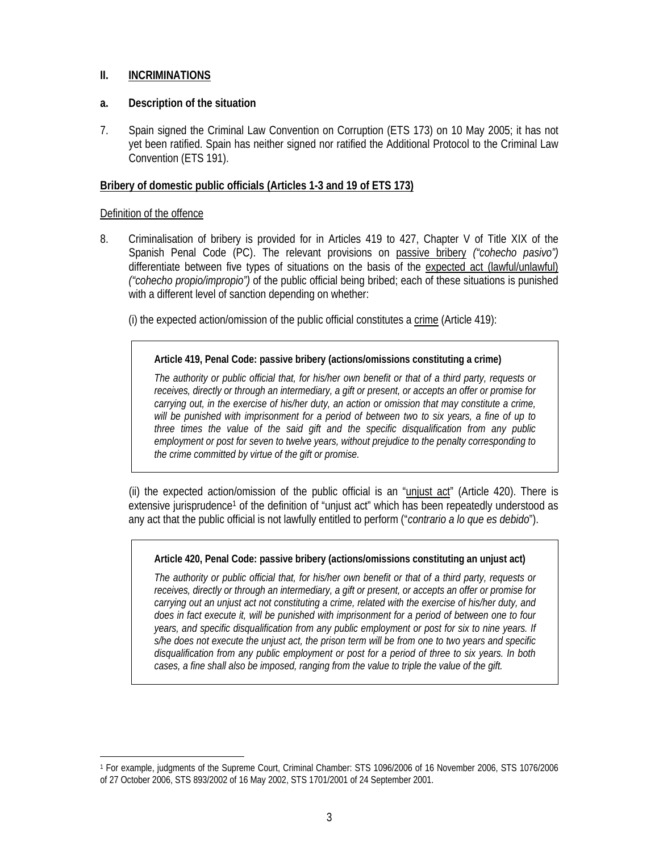# **II. INCRIMINATIONS**

### **a. Description of the situation**

7. Spain signed the Criminal Law Convention on Corruption (ETS 173) on 10 May 2005; it has not yet been ratified. Spain has neither signed nor ratified the Additional Protocol to the Criminal Law Convention (ETS 191).

### **Bribery of domestic public officials (Articles 1-3 and 19 of ETS 173)**

### Definition of the offence

 $\overline{a}$ 

8. Criminalisation of bribery is provided for in Articles 419 to 427, Chapter V of Title XIX of the Spanish Penal Code (PC). The relevant provisions on passive bribery *("cohecho pasivo")* differentiate between five types of situations on the basis of the expected act (lawful/unlawful) *("cohecho propio/impropio")* of the public official being bribed; each of these situations is punished with a different level of sanction depending on whether:

(i) the expected action/omission of the public official constitutes a  $\frac{\text{crime}}{\text{c}}$  (Article 419):

### **Article 419, Penal Code: passive bribery (actions/omissions constituting a crime)**

*The authority or public official that, for his/her own benefit or that of a third party, requests or receives, directly or through an intermediary, a gift or present, or accepts an offer or promise for carrying out, in the exercise of his/her duty, an action or omission that may constitute a crime, will be punished with imprisonment for a period of between two to six years, a fine of up to three times the value of the said gift and the specific disqualification from any public employment or post for seven to twelve years, without prejudice to the penalty corresponding to the crime committed by virtue of the gift or promise.* 

(ii) the expected action/omission of the public official is an " $unjust act"$  (Article 420). There is extensive jurisprudence<sup>1</sup> of the definition of "unjust act" which has been repeatedly understood as any act that the public official is not lawfully entitled to perform ("*contrario a lo que es debido*").

# **Article 420, Penal Code: passive bribery (actions/omissions constituting an unjust act)**

*The authority or public official that, for his/her own benefit or that of a third party, requests or receives, directly or through an intermediary, a gift or present, or accepts an offer or promise for carrying out an unjust act not constituting a crime, related with the exercise of his/her duty, and does in fact execute it, will be punished with imprisonment for a period of between one to four years, and specific disqualification from any public employment or post for six to nine years. If s/he does not execute the unjust act, the prison term will be from one to two years and specific disqualification from any public employment or post for a period of three to six years. In both cases, a fine shall also be imposed, ranging from the value to triple the value of the gift.* 

<sup>1</sup> For example, judgments of the Supreme Court, Criminal Chamber: STS 1096/2006 of 16 November 2006, STS 1076/2006 of 27 October 2006, STS 893/2002 of 16 May 2002, STS 1701/2001 of 24 September 2001.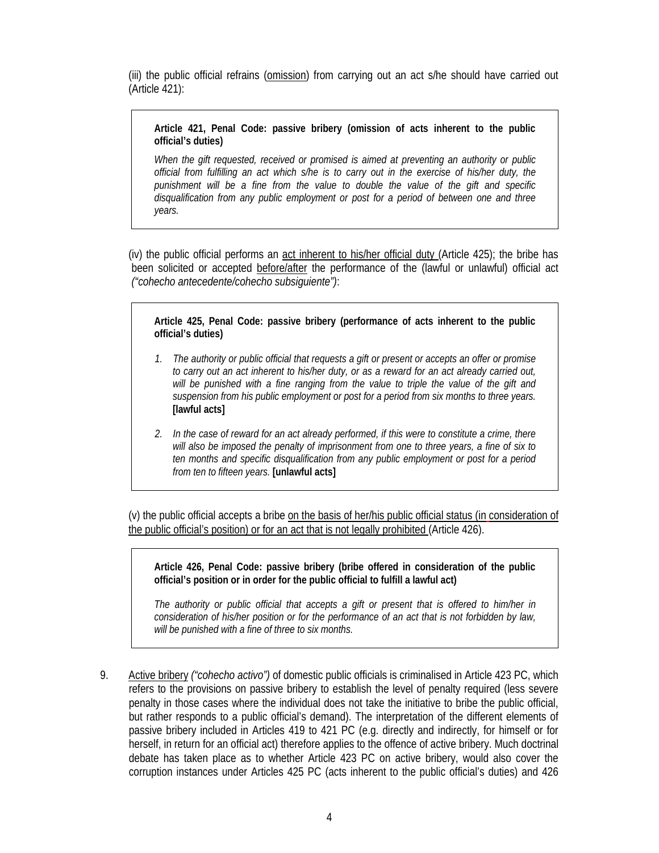(iii) the public official refrains (omission) from carrying out an act s/he should have carried out (Article 421):

**Article 421, Penal Code: passive bribery (omission of acts inherent to the public official's duties)** 

*When the gift requested, received or promised is aimed at preventing an authority or public official from fulfilling an act which s/he is to carry out in the exercise of his/her duty, the punishment will be a fine from the value to double the value of the gift and specific disqualification from any public employment or post for a period of between one and three years.* 

(iv) the public official performs an act inherent to his/her official duty (Article 425); the bribe has been solicited or accepted before/after the performance of the (lawful or unlawful) official act *("cohecho antecedente/cohecho subsiguiente")*:

**Article 425, Penal Code: passive bribery (performance of acts inherent to the public official's duties)** 

- *1. The authority or public official that requests a gift or present or accepts an offer or promise to carry out an act inherent to his/her duty, or as a reward for an act already carried out, will be punished with a fine ranging from the value to triple the value of the gift and suspension from his public employment or post for a period from six months to three years.*  **[lawful acts]**
- *2. In the case of reward for an act already performed, if this were to constitute a crime, there will also be imposed the penalty of imprisonment from one to three years, a fine of six to ten months and specific disqualification from any public employment or post for a period from ten to fifteen years.* **[unlawful acts]**

(v) the public official accepts a bribe on the basis of her/his public official status (in consideration of the public official's position) or for an act that is not legally prohibited (Article 426).

**Article 426, Penal Code: passive bribery (bribe offered in consideration of the public official's position or in order for the public official to fulfill a lawful act)** 

*The authority or public official that accepts a gift or present that is offered to him/her in consideration of his/her position or for the performance of an act that is not forbidden by law, will be punished with a fine of three to six months.* 

9. Active bribery *("cohecho activo")* of domestic public officials is criminalised in Article 423 PC, which refers to the provisions on passive bribery to establish the level of penalty required (less severe penalty in those cases where the individual does not take the initiative to bribe the public official, but rather responds to a public official's demand). The interpretation of the different elements of passive bribery included in Articles 419 to 421 PC (e.g. directly and indirectly, for himself or for herself, in return for an official act) therefore applies to the offence of active bribery. Much doctrinal debate has taken place as to whether Article 423 PC on active bribery, would also cover the corruption instances under Articles 425 PC (acts inherent to the public official's duties) and 426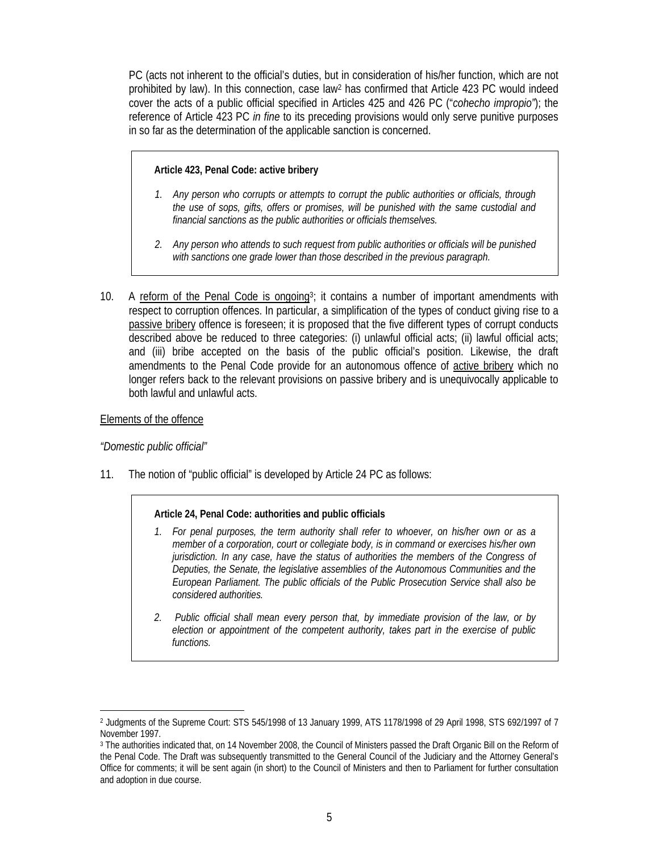PC (acts not inherent to the official's duties, but in consideration of his/her function, which are not prohibited by law). In this connection, case law2 has confirmed that Article 423 PC would indeed cover the acts of a public official specified in Articles 425 and 426 PC ("*cohecho impropio"*); the reference of Article 423 PC *in fine* to its preceding provisions would only serve punitive purposes in so far as the determination of the applicable sanction is concerned.

### **Article 423, Penal Code: active bribery**

- *1. Any person who corrupts or attempts to corrupt the public authorities or officials, through the use of sops, gifts, offers or promises, will be punished with the same custodial and financial sanctions as the public authorities or officials themselves.*
- *2. Any person who attends to such request from public authorities or officials will be punished with sanctions one grade lower than those described in the previous paragraph.*
- 10. A reform of the Penal Code is ongoing<sup>3</sup>; it contains a number of important amendments with respect to corruption offences. In particular, a simplification of the types of conduct giving rise to a passive bribery offence is foreseen; it is proposed that the five different types of corrupt conducts described above be reduced to three categories: (i) unlawful official acts; (ii) lawful official acts; and (iii) bribe accepted on the basis of the public official's position. Likewise, the draft amendments to the Penal Code provide for an autonomous offence of active bribery which no longer refers back to the relevant provisions on passive bribery and is unequivocally applicable to both lawful and unlawful acts.

### Elements of the offence

# *"Domestic public official"*

11. The notion of "public official" is developed by Article 24 PC as follows:

#### **Article 24, Penal Code: authorities and public officials**

- *1. For penal purposes, the term authority shall refer to whoever, on his/her own or as a member of a corporation, court or collegiate body, is in command or exercises his/her own jurisdiction. In any case, have the status of authorities the members of the Congress of Deputies, the Senate, the legislative assemblies of the Autonomous Communities and the European Parliament. The public officials of the Public Prosecution Service shall also be considered authorities.*
- *2. Public official shall mean every person that, by immediate provision of the law, or by election or appointment of the competent authority, takes part in the exercise of public functions.*

 $\overline{a}$ 2 Judgments of the Supreme Court: STS 545/1998 of 13 January 1999, ATS 1178/1998 of 29 April 1998, STS 692/1997 of 7 November 1997.

<sup>3</sup> The authorities indicated that, on 14 November 2008, the Council of Ministers passed the Draft Organic Bill on the Reform of the Penal Code. The Draft was subsequently transmitted to the General Council of the Judiciary and the Attorney General's Office for comments; it will be sent again (in short) to the Council of Ministers and then to Parliament for further consultation and adoption in due course.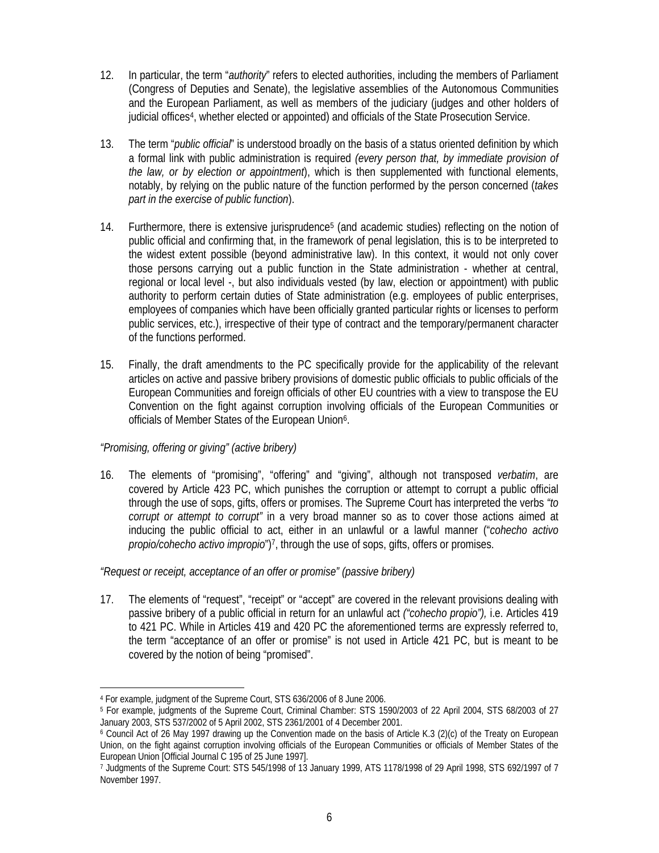- 12. In particular, the term "*authority*" refers to elected authorities, including the members of Parliament (Congress of Deputies and Senate), the legislative assemblies of the Autonomous Communities and the European Parliament, as well as members of the judiciary (judges and other holders of judicial offices4, whether elected or appointed) and officials of the State Prosecution Service.
- 13. The term "*public official*" is understood broadly on the basis of a status oriented definition by which a formal link with public administration is required *(every person that, by immediate provision of the law, or by election or appointment*), which is then supplemented with functional elements, notably, by relying on the public nature of the function performed by the person concerned (*takes part in the exercise of public function*).
- 14. Furthermore, there is extensive jurisprudence<sup>5</sup> (and academic studies) reflecting on the notion of public official and confirming that, in the framework of penal legislation, this is to be interpreted to the widest extent possible (beyond administrative law). In this context, it would not only cover those persons carrying out a public function in the State administration - whether at central, regional or local level -, but also individuals vested (by law, election or appointment) with public authority to perform certain duties of State administration (e.g. employees of public enterprises, employees of companies which have been officially granted particular rights or licenses to perform public services, etc.), irrespective of their type of contract and the temporary/permanent character of the functions performed.
- 15. Finally, the draft amendments to the PC specifically provide for the applicability of the relevant articles on active and passive bribery provisions of domestic public officials to public officials of the European Communities and foreign officials of other EU countries with a view to transpose the EU Convention on the fight against corruption involving officials of the European Communities or officials of Member States of the European Union6.

# *"Promising, offering or giving" (active bribery)*

16. The elements of "promising", "offering" and "giving", although not transposed *verbatim*, are covered by Article 423 PC, which punishes the corruption or attempt to corrupt a public official through the use of sops, gifts, offers or promises. The Supreme Court has interpreted the verbs *"to corrupt or attempt to corrupt"* in a very broad manner so as to cover those actions aimed at inducing the public official to act, either in an unlawful or a lawful manner ("*cohecho activo propio/cohecho activo impropio*")<sup>7</sup>, through the use of sops, gifts, offers or promises.

# *"Request or receipt, acceptance of an offer or promise" (passive bribery)*

17. The elements of "request", "receipt" or "accept" are covered in the relevant provisions dealing with passive bribery of a public official in return for an unlawful act *("cohecho propio"),* i.e. Articles 419 to 421 PC. While in Articles 419 and 420 PC the aforementioned terms are expressly referred to, the term "acceptance of an offer or promise" is not used in Article 421 PC, but is meant to be covered by the notion of being "promised".

 $\overline{a}$ 

<sup>4</sup> For example, judgment of the Supreme Court, STS 636/2006 of 8 June 2006.

<sup>5</sup> For example, judgments of the Supreme Court, Criminal Chamber: STS 1590/2003 of 22 April 2004, STS 68/2003 of 27 January 2003, STS 537/2002 of 5 April 2002, STS 2361/2001 of 4 December 2001.<br><sup>6</sup> Council Act of 26 May 1997 drawing up the Convention made on the basis of Article K.3 (2)(c) of the Treaty on European

Union, on the fight against corruption involving officials of the European Communities or officials of Member States of the European Union [Official Journal C 195 of 25 June 1997].

<sup>7</sup> Judgments of the Supreme Court: STS 545/1998 of 13 January 1999, ATS 1178/1998 of 29 April 1998, STS 692/1997 of 7 November 1997.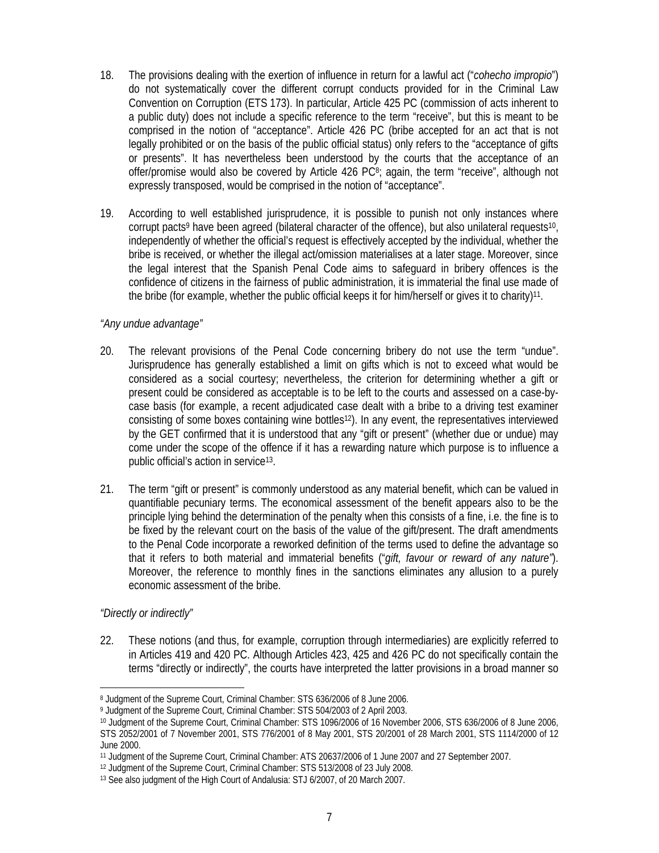- 18. The provisions dealing with the exertion of influence in return for a lawful act ("*cohecho impropio*") do not systematically cover the different corrupt conducts provided for in the Criminal Law Convention on Corruption (ETS 173). In particular, Article 425 PC (commission of acts inherent to a public duty) does not include a specific reference to the term "receive", but this is meant to be comprised in the notion of "acceptance". Article 426 PC (bribe accepted for an act that is not legally prohibited or on the basis of the public official status) only refers to the "acceptance of gifts or presents". It has nevertheless been understood by the courts that the acceptance of an offer/promise would also be covered by Article 426 PC<sup>8</sup>; again, the term "receive", although not expressly transposed, would be comprised in the notion of "acceptance".
- 19. According to well established jurisprudence, it is possible to punish not only instances where corrupt pacts<sup>9</sup> have been agreed (bilateral character of the offence), but also unilateral requests<sup>10</sup>, independently of whether the official's request is effectively accepted by the individual, whether the bribe is received, or whether the illegal act/omission materialises at a later stage. Moreover, since the legal interest that the Spanish Penal Code aims to safeguard in bribery offences is the confidence of citizens in the fairness of public administration, it is immaterial the final use made of the bribe (for example, whether the public official keeps it for him/herself or gives it to charity)11.

### *"Any undue advantage"*

- 20. The relevant provisions of the Penal Code concerning bribery do not use the term "undue". Jurisprudence has generally established a limit on gifts which is not to exceed what would be considered as a social courtesy; nevertheless, the criterion for determining whether a gift or present could be considered as acceptable is to be left to the courts and assessed on a case-bycase basis (for example, a recent adjudicated case dealt with a bribe to a driving test examiner consisting of some boxes containing wine bottles<sup>12</sup>). In any event, the representatives interviewed by the GET confirmed that it is understood that any "gift or present" (whether due or undue) may come under the scope of the offence if it has a rewarding nature which purpose is to influence a public official's action in service13.
- 21. The term "gift or present" is commonly understood as any material benefit, which can be valued in quantifiable pecuniary terms. The economical assessment of the benefit appears also to be the principle lying behind the determination of the penalty when this consists of a fine, i.e. the fine is to be fixed by the relevant court on the basis of the value of the gift/present. The draft amendments to the Penal Code incorporate a reworked definition of the terms used to define the advantage so that it refers to both material and immaterial benefits ("*gift, favour or reward of any nature"*). Moreover, the reference to monthly fines in the sanctions eliminates any allusion to a purely economic assessment of the bribe.

# *"Directly or indirectly"*

 $\overline{a}$ 

22. These notions (and thus, for example, corruption through intermediaries) are explicitly referred to in Articles 419 and 420 PC. Although Articles 423, 425 and 426 PC do not specifically contain the terms "directly or indirectly", the courts have interpreted the latter provisions in a broad manner so

<sup>8</sup> Judgment of the Supreme Court, Criminal Chamber: STS 636/2006 of 8 June 2006.

<sup>9</sup> Judgment of the Supreme Court, Criminal Chamber: STS 504/2003 of 2 April 2003.

<sup>&</sup>lt;sup>10</sup> Judgment of the Supreme Court, Criminal Chamber: STS 1096/2006 of 16 November 2006, STS 636/2006 of 8 June 2006, STS 2052/2001 of 7 November 2001, STS 776/2001 of 8 May 2001, STS 20/2001 of 28 March 2001, STS 1114/2000 of 12 June 2000.

<sup>&</sup>lt;sup>11</sup> Judgment of the Supreme Court, Criminal Chamber: ATS 20637/2006 of 1 June 2007 and 27 September 2007.<br><sup>12</sup> Judgment of the Supreme Court, Criminal Chamber: STS 513/2008 of 23 July 2008.<br><sup>13</sup> See also judgment of the H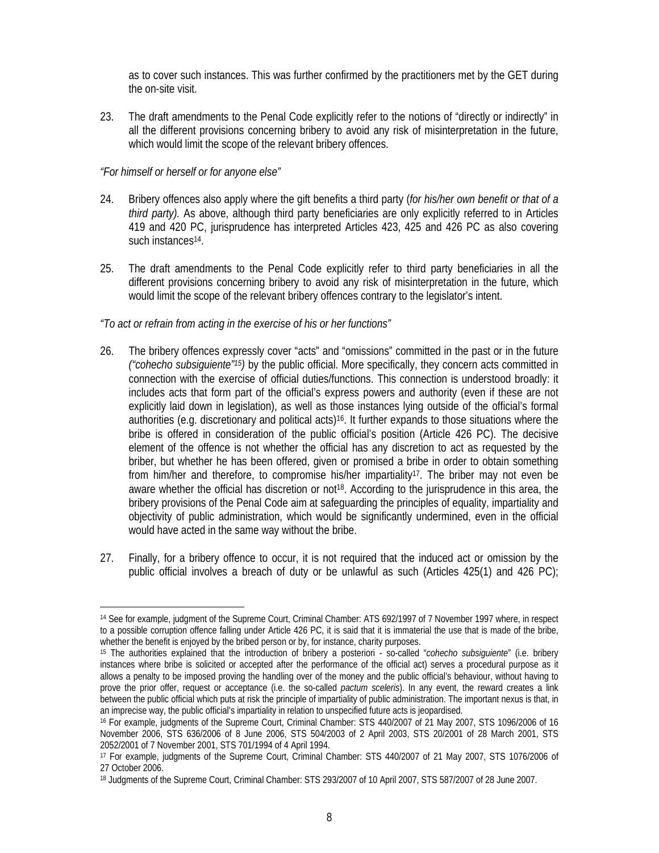as to cover such instances. This was further confirmed by the practitioners met by the GET during the on-site visit.

23. The draft amendments to the Penal Code explicitly refer to the notions of "directly or indirectly" in all the different provisions concerning bribery to avoid any risk of misinterpretation in the future, which would limit the scope of the relevant bribery offences.

### *"For himself or herself or for anyone else"*

- 24. Bribery offences also apply where the gift benefits a third party (*for his/her own benefit or that of a third party).* As above, although third party beneficiaries are only explicitly referred to in Articles 419 and 420 PC, jurisprudence has interpreted Articles 423, 425 and 426 PC as also covering such instances<sup>14</sup>.
- 25. The draft amendments to the Penal Code explicitly refer to third party beneficiaries in all the different provisions concerning bribery to avoid any risk of misinterpretation in the future, which would limit the scope of the relevant bribery offences contrary to the legislator's intent.

# *"To act or refrain from acting in the exercise of his or her functions"*

- 26. The bribery offences expressly cover "acts" and "omissions" committed in the past or in the future *("cohecho subsiguiente"15)* by the public official. More specifically, they concern acts committed in connection with the exercise of official duties/functions. This connection is understood broadly: it includes acts that form part of the official's express powers and authority (even if these are not explicitly laid down in legislation), as well as those instances lying outside of the official's formal authorities (e.g. discretionary and political acts)16. It further expands to those situations where the bribe is offered in consideration of the public official's position (Article 426 PC). The decisive element of the offence is not whether the official has any discretion to act as requested by the briber, but whether he has been offered, given or promised a bribe in order to obtain something from him/her and therefore, to compromise his/her impartiality17. The briber may not even be aware whether the official has discretion or not<sup>18</sup>. According to the jurisprudence in this area, the bribery provisions of the Penal Code aim at safeguarding the principles of equality, impartiality and objectivity of public administration, which would be significantly undermined, even in the official would have acted in the same way without the bribe.
- 27. Finally, for a bribery offence to occur, it is not required that the induced act or omission by the public official involves a breach of duty or be unlawful as such (Articles 425(1) and 426 PC);

 $\overline{a}$ 14 See for example, judgment of the Supreme Court, Criminal Chamber: ATS 692/1997 of 7 November 1997 where, in respect to a possible corruption offence falling under Article 426 PC, it is said that it is immaterial the use that is made of the bribe, whether the benefit is enjoyed by the bribed person or by, for instance, charity purposes. 15 The authorities explained that the introduction of bribery a posteriori - so-called "*cohecho subsiguiente*" (i.e. bribery

instances where bribe is solicited or accepted after the performance of the official act) serves a procedural purpose as it allows a penalty to be imposed proving the handling over of the money and the public official's behaviour, without having to prove the prior offer, request or acceptance (i.e. the so-called *pactum sceleris*). In any event, the reward creates a link between the public official which puts at risk the principle of impartiality of public administration. The important nexus is that, in an imprecise way, the public official's impartiality in relation to unspecified future

<sup>&</sup>lt;sup>16</sup> For example, judgments of the Supreme Court, Criminal Chamber: STS 440/2007 of 21 May 2007, STS 1096/2006 of 16 November 2006, STS 636/2006 of 8 June 2006, STS 504/2003 of 2 April 2003, STS 20/2001 of 28 March 2001, STS 2052/2001 of 7 November 2001, STS 701/1994 of 4 April 1994.

<sup>17</sup> For example, judgments of the Supreme Court, Criminal Chamber: STS 440/2007 of 21 May 2007, STS 1076/2006 of 27 October 2006.

<sup>18</sup> Judgments of the Supreme Court, Criminal Chamber: STS 293/2007 of 10 April 2007, STS 587/2007 of 28 June 2007.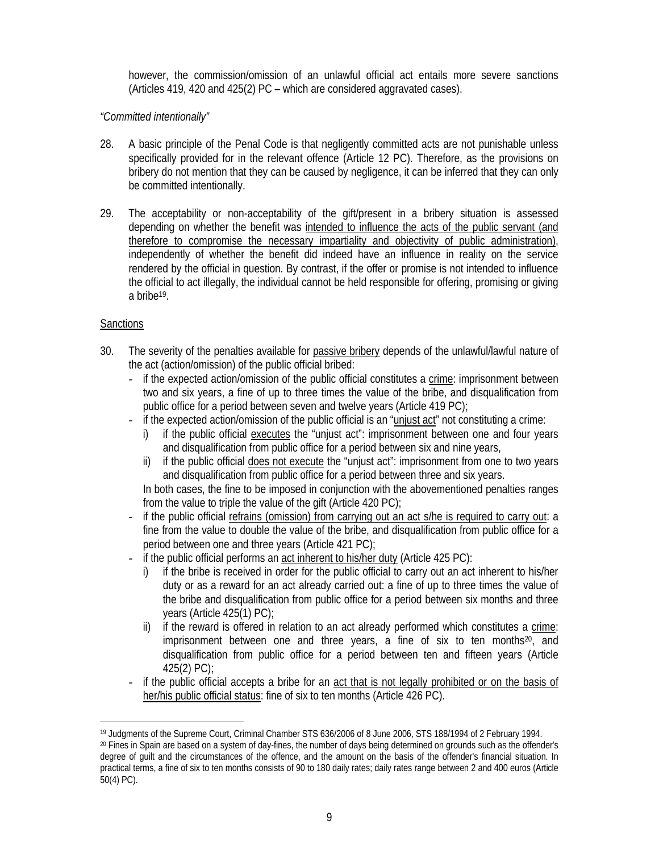however, the commission/omission of an unlawful official act entails more severe sanctions (Articles 419, 420 and 425(2) PC – which are considered aggravated cases).

# *"Committed intentionally"*

- 28. A basic principle of the Penal Code is that negligently committed acts are not punishable unless specifically provided for in the relevant offence (Article 12 PC). Therefore, as the provisions on bribery do not mention that they can be caused by negligence, it can be inferred that they can only be committed intentionally.
- 29. The acceptability or non-acceptability of the gift/present in a bribery situation is assessed depending on whether the benefit was intended to influence the acts of the public servant (and therefore to compromise the necessary impartiality and objectivity of public administration), independently of whether the benefit did indeed have an influence in reality on the service rendered by the official in question. By contrast, if the offer or promise is not intended to influence the official to act illegally, the individual cannot be held responsible for offering, promising or giving a bribe19.

# **Sanctions**

- 30. The severity of the penalties available for passive bribery depends of the unlawful/lawful nature of the act (action/omission) of the public official bribed:
	- if the expected action/omission of the public official constitutes a crime: imprisonment between two and six years, a fine of up to three times the value of the bribe, and disqualification from public office for a period between seven and twelve years (Article 419 PC);
	- if the expected action/omission of the public official is an "unjust act" not constituting a crime:
		- i) if the public official executes the "unjust act": imprisonment between one and four years and disqualification from public office for a period between six and nine years,
		- ii) if the public official does not execute the "unjust act": imprisonment from one to two years and disqualification from public office for a period between three and six years.

In both cases, the fine to be imposed in conjunction with the abovementioned penalties ranges from the value to triple the value of the gift (Article 420 PC);

- if the public official refrains (omission) from carrying out an act s/he is required to carry out: a fine from the value to double the value of the bribe, and disqualification from public office for a period between one and three years (Article 421 PC);
- if the public official performs an act inherent to his/her duty (Article 425 PC):
	- i) if the bribe is received in order for the public official to carry out an act inherent to his/her duty or as a reward for an act already carried out: a fine of up to three times the value of the bribe and disqualification from public office for a period between six months and three years (Article 425(1) PC);
	- ii) if the reward is offered in relation to an act already performed which constitutes a  $crime$ :</u> imprisonment between one and three years, a fine of six to ten months20, and disqualification from public office for a period between ten and fifteen years (Article 425(2) PC);
- if the public official accepts a bribe for an act that is not legally prohibited or on the basis of her/his public official status: fine of six to ten months (Article 426 PC).

l <sup>19</sup> Judgments of the Supreme Court, Criminal Chamber STS 636/2006 of 8 June 2006, STS 188/1994 of 2 February 1994.<br><sup>20</sup> Fines in Spain are based on a system of day-fines, the number of days being determined on grounds suc degree of guilt and the circumstances of the offence, and the amount on the basis of the offender's financial situation. In practical terms, a fine of six to ten months consists of 90 to 180 daily rates; daily rates range between 2 and 400 euros (Article 50(4) PC).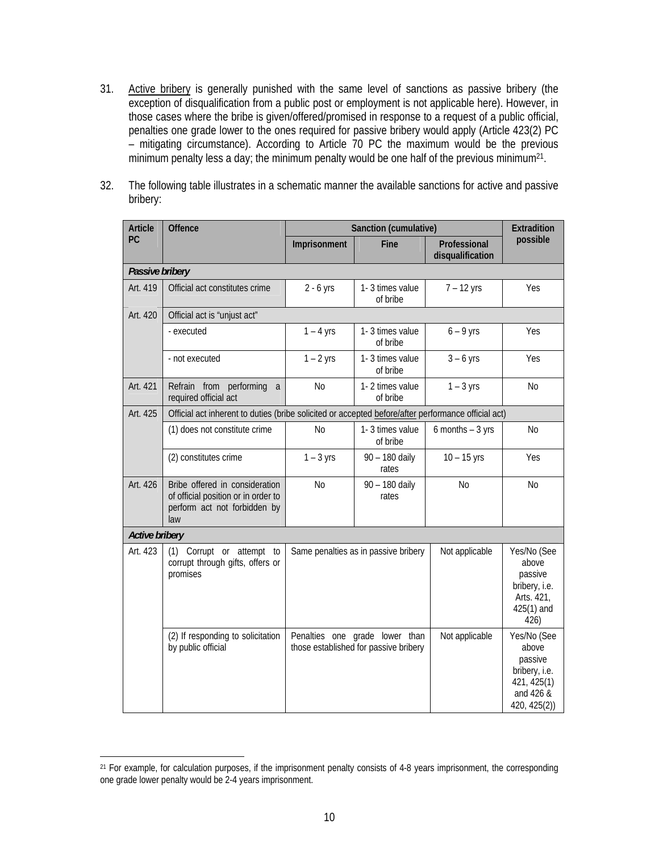- 31. Active bribery is generally punished with the same level of sanctions as passive bribery (the exception of disqualification from a public post or employment is not applicable here). However, in those cases where the bribe is given/offered/promised in response to a request of a public official, penalties one grade lower to the ones required for passive bribery would apply (Article 423(2) PC – mitigating circumstance). According to Article 70 PC the maximum would be the previous minimum penalty less a day; the minimum penalty would be one half of the previous minimum<sup>21</sup>.
- 32. The following table illustrates in a schematic manner the available sanctions for active and passive bribery:

| <b>Article</b>        | <b>Offence</b>                                                                                               | Sanction (cumulative)                                                   |                             |                                  | Extradition                                                                                  |  |  |
|-----------------------|--------------------------------------------------------------------------------------------------------------|-------------------------------------------------------------------------|-----------------------------|----------------------------------|----------------------------------------------------------------------------------------------|--|--|
| PC                    |                                                                                                              | Imprisonment                                                            | <b>Fine</b>                 | Professional<br>disqualification | possible                                                                                     |  |  |
| Passive bribery       |                                                                                                              |                                                                         |                             |                                  |                                                                                              |  |  |
| Art. 419              | Official act constitutes crime                                                                               | $2 - 6$ yrs                                                             | 1-3 times value<br>of bribe | $7 - 12$ yrs                     | Yes                                                                                          |  |  |
| Art. 420              | Official act is "unjust act"                                                                                 |                                                                         |                             |                                  |                                                                                              |  |  |
|                       | - executed                                                                                                   | $1 - 4$ yrs                                                             | 1-3 times value<br>of bribe | $6 - 9$ yrs                      | Yes                                                                                          |  |  |
|                       | - not executed                                                                                               | $1 - 2$ yrs                                                             | 1-3 times value<br>of bribe | $3 - 6$ yrs                      | Yes                                                                                          |  |  |
| Art. 421              | Refrain from<br>performing<br>a<br>required official act                                                     | N <sub>o</sub>                                                          | 1-2 times value<br>of bribe | $1 - 3$ yrs                      | <b>No</b>                                                                                    |  |  |
| Art. 425              | Official act inherent to duties (bribe solicited or accepted before/after performance official act)          |                                                                         |                             |                                  |                                                                                              |  |  |
|                       | (1) does not constitute crime                                                                                | <b>No</b>                                                               | 1-3 times value<br>of bribe | $6$ months $-3$ yrs              | N <sub>0</sub>                                                                               |  |  |
|                       | (2) constitutes crime                                                                                        | $1 - 3$ yrs                                                             | 90 - 180 daily<br>rates     | $10 - 15$ yrs                    | Yes                                                                                          |  |  |
| Art. 426              | Bribe offered in consideration<br>of official position or in order to<br>perform act not forbidden by<br>law | N <sub>o</sub>                                                          | 90 - 180 daily<br>rates     | <b>No</b>                        | <b>No</b>                                                                                    |  |  |
| <b>Active bribery</b> |                                                                                                              |                                                                         |                             |                                  |                                                                                              |  |  |
| Art. 423              | Corrupt or attempt to<br>(1)<br>corrupt through gifts, offers or<br>promises                                 | Same penalties as in passive bribery                                    |                             | Not applicable                   | Yes/No (See<br>above<br>passive<br>bribery, i.e.<br>Arts. 421,<br>$425(1)$ and<br>426)       |  |  |
|                       | (2) If responding to solicitation<br>by public official                                                      | Penalties one grade lower than<br>those established for passive bribery |                             | Not applicable                   | Yes/No (See<br>above<br>passive<br>bribery, i.e.<br>421, 425(1)<br>and 426 &<br>420, 425(2)) |  |  |

 $\overline{a}$ 

<sup>&</sup>lt;sup>21</sup> For example, for calculation purposes, if the imprisonment penalty consists of 4-8 years imprisonment, the corresponding one grade lower penalty would be 2-4 years imprisonment.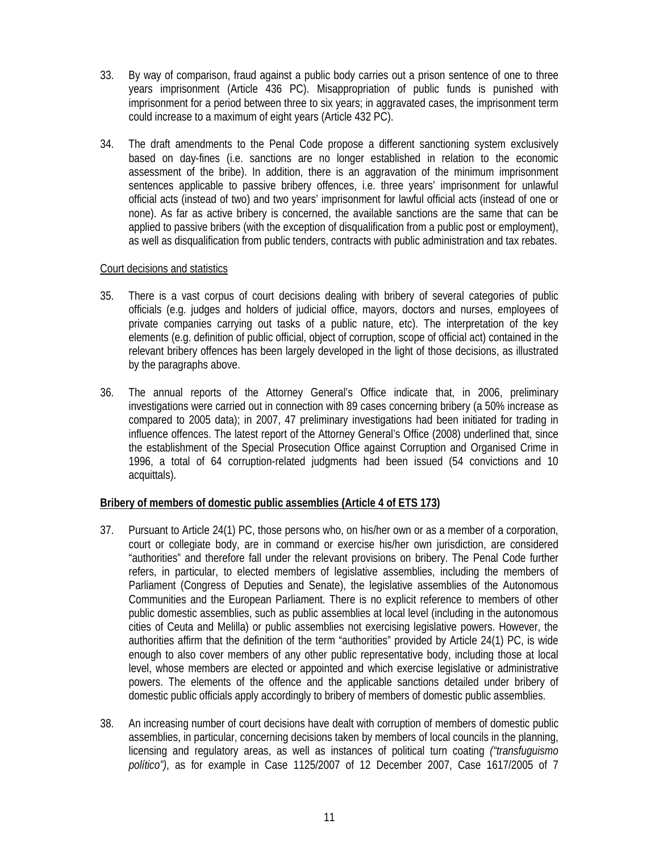- 33. By way of comparison, fraud against a public body carries out a prison sentence of one to three years imprisonment (Article 436 PC). Misappropriation of public funds is punished with imprisonment for a period between three to six years; in aggravated cases, the imprisonment term could increase to a maximum of eight years (Article 432 PC).
- 34. The draft amendments to the Penal Code propose a different sanctioning system exclusively based on day-fines (i.e. sanctions are no longer established in relation to the economic assessment of the bribe). In addition, there is an aggravation of the minimum imprisonment sentences applicable to passive bribery offences, i.e. three years' imprisonment for unlawful official acts (instead of two) and two years' imprisonment for lawful official acts (instead of one or none). As far as active bribery is concerned, the available sanctions are the same that can be applied to passive bribers (with the exception of disqualification from a public post or employment), as well as disqualification from public tenders, contracts with public administration and tax rebates.

### Court decisions and statistics

- 35. There is a vast corpus of court decisions dealing with bribery of several categories of public officials (e.g. judges and holders of judicial office, mayors, doctors and nurses, employees of private companies carrying out tasks of a public nature, etc). The interpretation of the key elements (e.g. definition of public official, object of corruption, scope of official act) contained in the relevant bribery offences has been largely developed in the light of those decisions, as illustrated by the paragraphs above.
- 36. The annual reports of the Attorney General's Office indicate that, in 2006, preliminary investigations were carried out in connection with 89 cases concerning bribery (a 50% increase as compared to 2005 data); in 2007, 47 preliminary investigations had been initiated for trading in influence offences. The latest report of the Attorney General's Office (2008) underlined that, since the establishment of the Special Prosecution Office against Corruption and Organised Crime in 1996, a total of 64 corruption-related judgments had been issued (54 convictions and 10 acquittals).

# **Bribery of members of domestic public assemblies (Article 4 of ETS 173)**

- 37. Pursuant to Article 24(1) PC, those persons who, on his/her own or as a member of a corporation, court or collegiate body, are in command or exercise his/her own jurisdiction, are considered "authorities" and therefore fall under the relevant provisions on bribery. The Penal Code further refers, in particular, to elected members of legislative assemblies, including the members of Parliament (Congress of Deputies and Senate), the legislative assemblies of the Autonomous Communities and the European Parliament. There is no explicit reference to members of other public domestic assemblies, such as public assemblies at local level (including in the autonomous cities of Ceuta and Melilla) or public assemblies not exercising legislative powers. However, the authorities affirm that the definition of the term "authorities" provided by Article 24(1) PC, is wide enough to also cover members of any other public representative body, including those at local level, whose members are elected or appointed and which exercise legislative or administrative powers. The elements of the offence and the applicable sanctions detailed under bribery of domestic public officials apply accordingly to bribery of members of domestic public assemblies.
- 38. An increasing number of court decisions have dealt with corruption of members of domestic public assemblies, in particular, concerning decisions taken by members of local councils in the planning, licensing and regulatory areas, as well as instances of political turn coating *("transfuguismo político")*, as for example in Case 1125/2007 of 12 December 2007, Case 1617/2005 of 7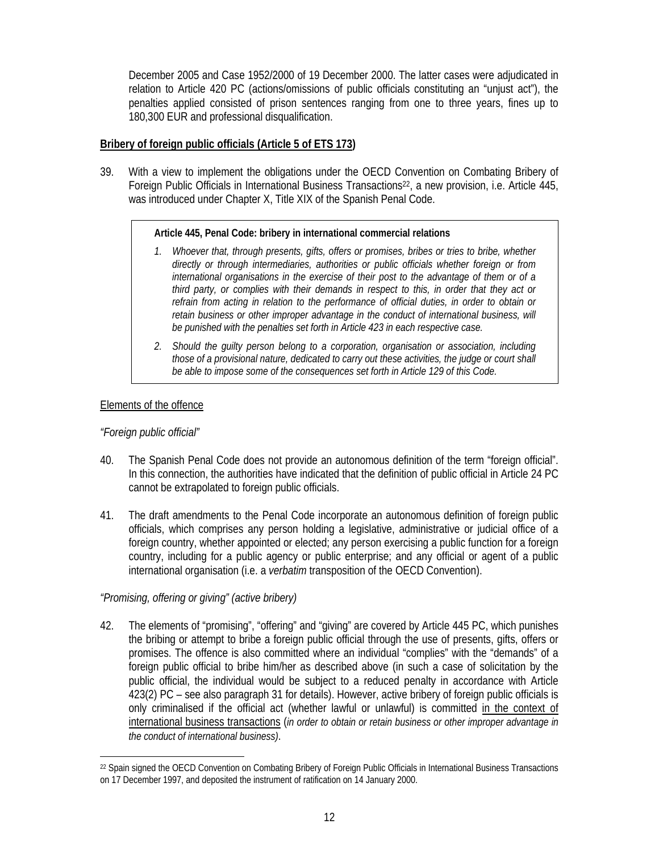December 2005 and Case 1952/2000 of 19 December 2000. The latter cases were adjudicated in relation to Article 420 PC (actions/omissions of public officials constituting an "unjust act"), the penalties applied consisted of prison sentences ranging from one to three years, fines up to 180,300 EUR and professional disqualification.

### **Bribery of foreign public officials (Article 5 of ETS 173)**

39. With a view to implement the obligations under the OECD Convention on Combating Bribery of Foreign Public Officials in International Business Transactions<sup>22</sup>, a new provision, i.e. Article 445, was introduced under Chapter X, Title XIX of the Spanish Penal Code.

#### **Article 445, Penal Code: bribery in international commercial relations**

- *1. Whoever that, through presents, gifts, offers or promises, bribes or tries to bribe, whether directly or through intermediaries, authorities or public officials whether foreign or from international organisations in the exercise of their post to the advantage of them or of a third party, or complies with their demands in respect to this, in order that they act or*  refrain from acting in relation to the performance of official duties, in order to obtain or *retain business or other improper advantage in the conduct of international business, will be punished with the penalties set forth in Article 423 in each respective case.*
- *2. Should the guilty person belong to a corporation, organisation or association, including those of a provisional nature, dedicated to carry out these activities, the judge or court shall be able to impose some of the consequences set forth in Article 129 of this Code.*

### Elements of the offence

### *"Foreign public official"*

 $\overline{a}$ 

- 40. The Spanish Penal Code does not provide an autonomous definition of the term "foreign official". In this connection, the authorities have indicated that the definition of public official in Article 24 PC cannot be extrapolated to foreign public officials.
- 41. The draft amendments to the Penal Code incorporate an autonomous definition of foreign public officials, which comprises any person holding a legislative, administrative or judicial office of a foreign country, whether appointed or elected; any person exercising a public function for a foreign country, including for a public agency or public enterprise; and any official or agent of a public international organisation (i.e. a *verbatim* transposition of the OECD Convention).

# *"Promising, offering or giving" (active bribery)*

42. The elements of "promising", "offering" and "giving" are covered by Article 445 PC, which punishes the bribing or attempt to bribe a foreign public official through the use of presents, gifts, offers or promises. The offence is also committed where an individual "complies" with the "demands" of a foreign public official to bribe him/her as described above (in such a case of solicitation by the public official, the individual would be subject to a reduced penalty in accordance with Article 423(2) PC – see also paragraph 31 for details). However, active bribery of foreign public officials is only criminalised if the official act (whether lawful or unlawful) is committed in the context of international business transactions (*in order to obtain or retain business or other improper advantage in the conduct of international business)*.

<sup>22</sup> Spain signed the OECD Convention on Combating Bribery of Foreign Public Officials in International Business Transactions on 17 December 1997, and deposited the instrument of ratification on 14 January 2000.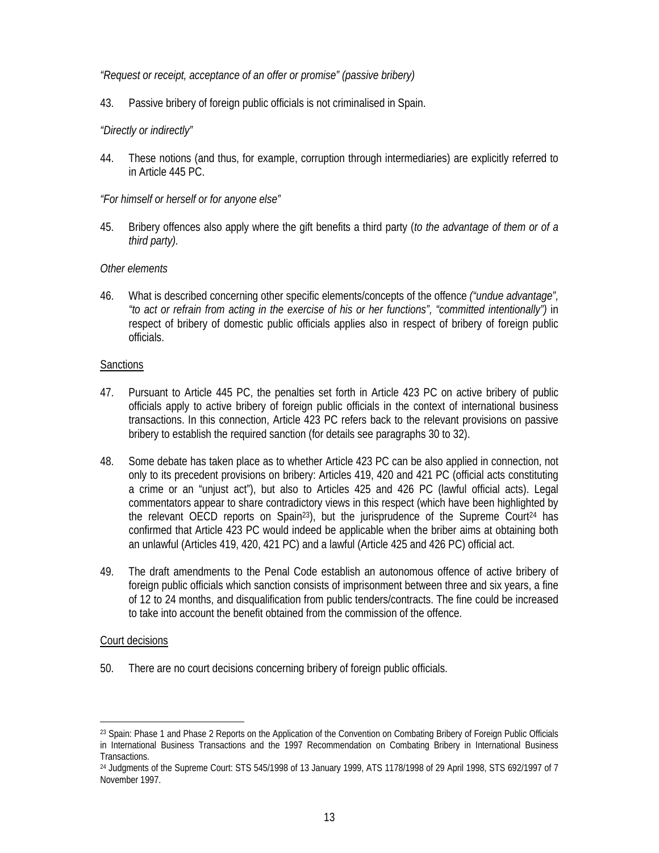### *"Request or receipt, acceptance of an offer or promise" (passive bribery)*

43. Passive bribery of foreign public officials is not criminalised in Spain.

### *"Directly or indirectly"*

44. These notions (and thus, for example, corruption through intermediaries) are explicitly referred to in Article 445 PC.

### *"For himself or herself or for anyone else"*

45. Bribery offences also apply where the gift benefits a third party (*to the advantage of them or of a third party).* 

### *Other elements*

46. What is described concerning other specific elements/concepts of the offence *("undue advantage", "to act or refrain from acting in the exercise of his or her functions", "committed intentionally")* in respect of bribery of domestic public officials applies also in respect of bribery of foreign public officials.

### **Sanctions**

- 47. Pursuant to Article 445 PC, the penalties set forth in Article 423 PC on active bribery of public officials apply to active bribery of foreign public officials in the context of international business transactions. In this connection, Article 423 PC refers back to the relevant provisions on passive bribery to establish the required sanction (for details see paragraphs 30 to 32).
- 48. Some debate has taken place as to whether Article 423 PC can be also applied in connection, not only to its precedent provisions on bribery: Articles 419, 420 and 421 PC (official acts constituting a crime or an "unjust act"), but also to Articles 425 and 426 PC (lawful official acts). Legal commentators appear to share contradictory views in this respect (which have been highlighted by the relevant OECD reports on Spain<sup>23</sup>), but the jurisprudence of the Supreme Court<sup>24</sup> has confirmed that Article 423 PC would indeed be applicable when the briber aims at obtaining both an unlawful (Articles 419, 420, 421 PC) and a lawful (Article 425 and 426 PC) official act.
- 49. The draft amendments to the Penal Code establish an autonomous offence of active bribery of foreign public officials which sanction consists of imprisonment between three and six years, a fine of 12 to 24 months, and disqualification from public tenders/contracts. The fine could be increased to take into account the benefit obtained from the commission of the offence.

#### Court decisions

l

50. There are no court decisions concerning bribery of foreign public officials.

<sup>&</sup>lt;sup>23</sup> Spain: Phase 1 and Phase 2 Reports on the Application of the Convention on Combating Bribery of Foreign Public Officials in International Business Transactions and the 1997 Recommendation on Combating Bribery in International Business Transactions.

<sup>24</sup> Judgments of the Supreme Court: STS 545/1998 of 13 January 1999, ATS 1178/1998 of 29 April 1998, STS 692/1997 of 7 November 1997.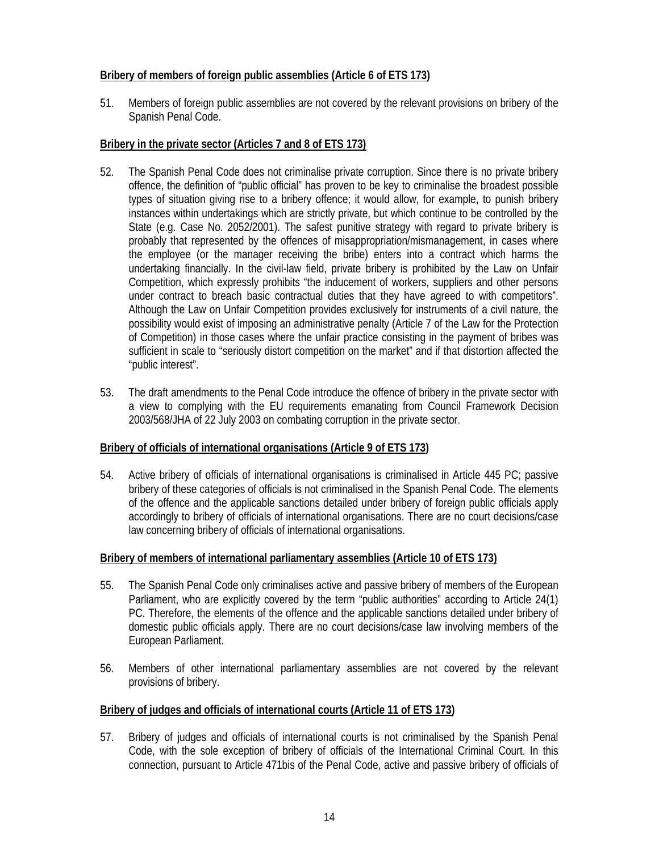# **Bribery of members of foreign public assemblies (Article 6 of ETS 173)**

51. Members of foreign public assemblies are not covered by the relevant provisions on bribery of the Spanish Penal Code.

# **Bribery in the private sector (Articles 7 and 8 of ETS 173)**

- 52. The Spanish Penal Code does not criminalise private corruption. Since there is no private bribery offence, the definition of "public official" has proven to be key to criminalise the broadest possible types of situation giving rise to a bribery offence; it would allow, for example, to punish bribery instances within undertakings which are strictly private, but which continue to be controlled by the State (e.g. Case No. 2052/2001). The safest punitive strategy with regard to private bribery is probably that represented by the offences of misappropriation/mismanagement, in cases where the employee (or the manager receiving the bribe) enters into a contract which harms the undertaking financially. In the civil-law field, private bribery is prohibited by the Law on Unfair Competition, which expressly prohibits "the inducement of workers, suppliers and other persons under contract to breach basic contractual duties that they have agreed to with competitors". Although the Law on Unfair Competition provides exclusively for instruments of a civil nature, the possibility would exist of imposing an administrative penalty (Article 7 of the Law for the Protection of Competition) in those cases where the unfair practice consisting in the payment of bribes was sufficient in scale to "seriously distort competition on the market" and if that distortion affected the "public interest".
- 53. The draft amendments to the Penal Code introduce the offence of bribery in the private sector with a view to complying with the EU requirements emanating from Council Framework Decision 2003/568/JHA of 22 July 2003 on combating corruption in the private sector.

# **Bribery of officials of international organisations (Article 9 of ETS 173)**

54. Active bribery of officials of international organisations is criminalised in Article 445 PC; passive bribery of these categories of officials is not criminalised in the Spanish Penal Code. The elements of the offence and the applicable sanctions detailed under bribery of foreign public officials apply accordingly to bribery of officials of international organisations. There are no court decisions/case law concerning bribery of officials of international organisations.

# **Bribery of members of international parliamentary assemblies (Article 10 of ETS 173)**

- 55. The Spanish Penal Code only criminalises active and passive bribery of members of the European Parliament, who are explicitly covered by the term "public authorities" according to Article 24(1) PC. Therefore, the elements of the offence and the applicable sanctions detailed under bribery of domestic public officials apply. There are no court decisions/case law involving members of the European Parliament.
- 56. Members of other international parliamentary assemblies are not covered by the relevant provisions of bribery.

# **Bribery of judges and officials of international courts (Article 11 of ETS 173)**

57. Bribery of judges and officials of international courts is not criminalised by the Spanish Penal Code, with the sole exception of bribery of officials of the International Criminal Court. In this connection, pursuant to Article 471bis of the Penal Code, active and passive bribery of officials of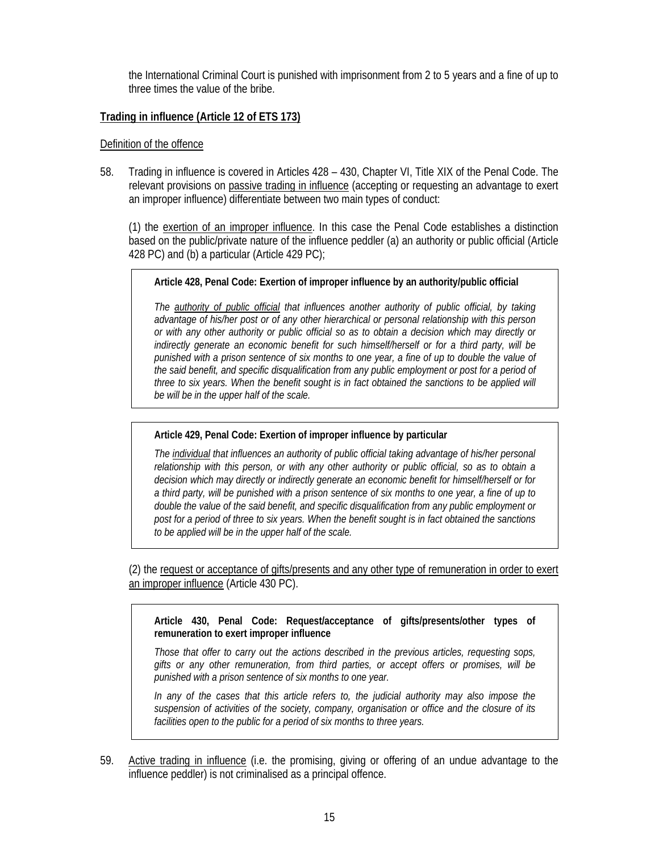the International Criminal Court is punished with imprisonment from 2 to 5 years and a fine of up to three times the value of the bribe.

# **Trading in influence (Article 12 of ETS 173)**

#### Definition of the offence

58. Trading in influence is covered in Articles 428 – 430, Chapter VI, Title XIX of the Penal Code. The relevant provisions on passive trading in influence (accepting or requesting an advantage to exert an improper influence) differentiate between two main types of conduct:

(1) the exertion of an improper influence. In this case the Penal Code establishes a distinction based on the public/private nature of the influence peddler (a) an authority or public official (Article 428 PC) and (b) a particular (Article 429 PC);

### **Article 428, Penal Code: Exertion of improper influence by an authority/public official**

*The authority of public official that influences another authority of public official, by taking advantage of his/her post or of any other hierarchical or personal relationship with this person or with any other authority or public official so as to obtain a decision which may directly or indirectly generate an economic benefit for such himself/herself or for a third party, will be punished with a prison sentence of six months to one year, a fine of up to double the value of the said benefit, and specific disqualification from any public employment or post for a period of three to six years. When the benefit sought is in fact obtained the sanctions to be applied will be will be in the upper half of the scale.* 

# **Article 429, Penal Code: Exertion of improper influence by particular**

*The individual that influences an authority of public official taking advantage of his/her personal relationship with this person, or with any other authority or public official, so as to obtain a decision which may directly or indirectly generate an economic benefit for himself/herself or for a third party, will be punished with a prison sentence of six months to one year, a fine of up to double the value of the said benefit, and specific disqualification from any public employment or post for a period of three to six years. When the benefit sought is in fact obtained the sanctions to be applied will be in the upper half of the scale.* 

(2) the request or acceptance of gifts/presents and any other type of remuneration in order to exert an improper influence (Article 430 PC).

**Article 430, Penal Code: Request/acceptance of gifts/presents/other types of remuneration to exert improper influence** 

*Those that offer to carry out the actions described in the previous articles, requesting sops, gifts or any other remuneration, from third parties, or accept offers or promises, will be punished with a prison sentence of six months to one year.* 

*In any of the cases that this article refers to, the judicial authority may also impose the suspension of activities of the society, company, organisation or office and the closure of its facilities open to the public for a period of six months to three years.* 

59. Active trading in influence (i.e. the promising, giving or offering of an undue advantage to the influence peddler) is not criminalised as a principal offence.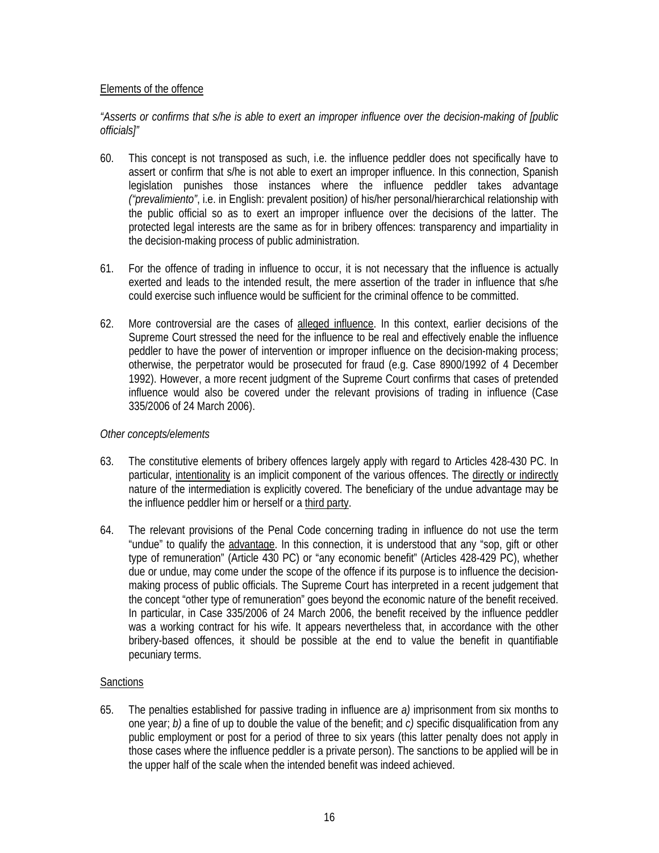### Elements of the offence

### *"Asserts or confirms that s/he is able to exert an improper influence over the decision-making of [public officials]"*

- 60. This concept is not transposed as such, i.e. the influence peddler does not specifically have to assert or confirm that s/he is not able to exert an improper influence. In this connection, Spanish legislation punishes those instances where the influence peddler takes advantage *("prevalimiento"*, i.e. in English: prevalent position*)* of his/her personal/hierarchical relationship with the public official so as to exert an improper influence over the decisions of the latter. The protected legal interests are the same as for in bribery offences: transparency and impartiality in the decision-making process of public administration.
- 61. For the offence of trading in influence to occur, it is not necessary that the influence is actually exerted and leads to the intended result, the mere assertion of the trader in influence that s/he could exercise such influence would be sufficient for the criminal offence to be committed.
- 62. More controversial are the cases of alleged influence. In this context, earlier decisions of the Supreme Court stressed the need for the influence to be real and effectively enable the influence peddler to have the power of intervention or improper influence on the decision-making process; otherwise, the perpetrator would be prosecuted for fraud (e.g. Case 8900/1992 of 4 December 1992). However, a more recent judgment of the Supreme Court confirms that cases of pretended influence would also be covered under the relevant provisions of trading in influence (Case 335/2006 of 24 March 2006).

#### *Other concepts/elements*

- 63. The constitutive elements of bribery offences largely apply with regard to Articles 428-430 PC. In particular, intentionality is an implicit component of the various offences. The directly or indirectly nature of the intermediation is explicitly covered. The beneficiary of the undue advantage may be the influence peddler him or herself or a third party.
- 64. The relevant provisions of the Penal Code concerning trading in influence do not use the term "undue" to qualify the advantage. In this connection, it is understood that any "sop, gift or other type of remuneration" (Article 430 PC) or "any economic benefit" (Articles 428-429 PC), whether due or undue, may come under the scope of the offence if its purpose is to influence the decisionmaking process of public officials. The Supreme Court has interpreted in a recent judgement that the concept "other type of remuneration" goes beyond the economic nature of the benefit received. In particular, in Case 335/2006 of 24 March 2006, the benefit received by the influence peddler was a working contract for his wife. It appears nevertheless that, in accordance with the other bribery-based offences, it should be possible at the end to value the benefit in quantifiable pecuniary terms.

#### **Sanctions**

65. The penalties established for passive trading in influence are *a)* imprisonment from six months to one year; *b)* a fine of up to double the value of the benefit; and *c)* specific disqualification from any public employment or post for a period of three to six years (this latter penalty does not apply in those cases where the influence peddler is a private person). The sanctions to be applied will be in the upper half of the scale when the intended benefit was indeed achieved.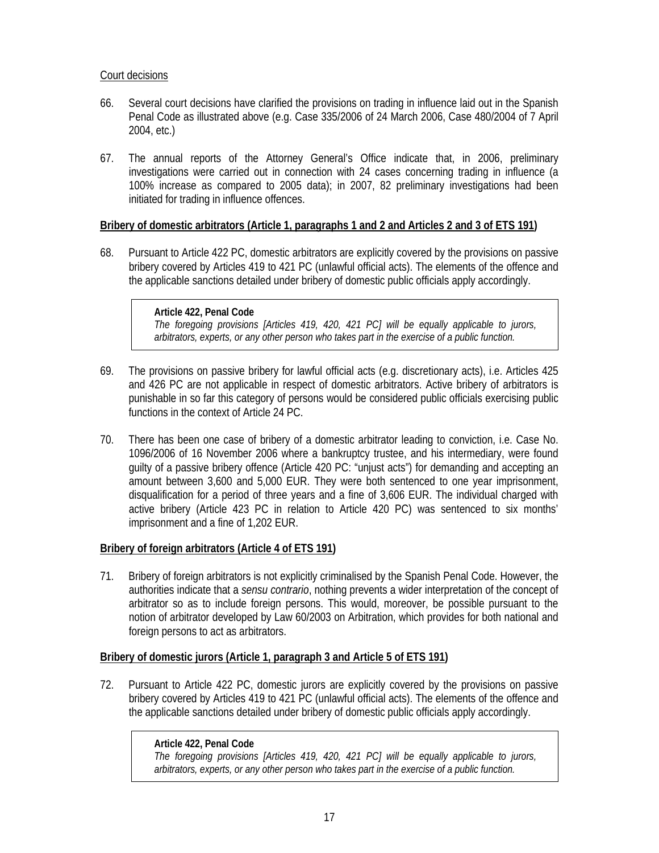### Court decisions

- 66. Several court decisions have clarified the provisions on trading in influence laid out in the Spanish Penal Code as illustrated above (e.g. Case 335/2006 of 24 March 2006, Case 480/2004 of 7 April 2004, etc.)
- 67. The annual reports of the Attorney General's Office indicate that, in 2006, preliminary investigations were carried out in connection with 24 cases concerning trading in influence (a 100% increase as compared to 2005 data); in 2007, 82 preliminary investigations had been initiated for trading in influence offences.

# **Bribery of domestic arbitrators (Article 1, paragraphs 1 and 2 and Articles 2 and 3 of ETS 191)**

68. Pursuant to Article 422 PC, domestic arbitrators are explicitly covered by the provisions on passive bribery covered by Articles 419 to 421 PC (unlawful official acts). The elements of the offence and the applicable sanctions detailed under bribery of domestic public officials apply accordingly.

#### **Article 422, Penal Code**

*The foregoing provisions [Articles 419, 420, 421 PC] will be equally applicable to jurors, arbitrators, experts, or any other person who takes part in the exercise of a public function.* 

- 69. The provisions on passive bribery for lawful official acts (e.g. discretionary acts), i.e. Articles 425 and 426 PC are not applicable in respect of domestic arbitrators. Active bribery of arbitrators is punishable in so far this category of persons would be considered public officials exercising public functions in the context of Article 24 PC.
- 70. There has been one case of bribery of a domestic arbitrator leading to conviction, i.e. Case No. 1096/2006 of 16 November 2006 where a bankruptcy trustee, and his intermediary, were found guilty of a passive bribery offence (Article 420 PC: "unjust acts") for demanding and accepting an amount between 3,600 and 5,000 EUR. They were both sentenced to one year imprisonment, disqualification for a period of three years and a fine of 3,606 EUR. The individual charged with active bribery (Article 423 PC in relation to Article 420 PC) was sentenced to six months' imprisonment and a fine of 1,202 EUR.

#### **Bribery of foreign arbitrators (Article 4 of ETS 191)**

71. Bribery of foreign arbitrators is not explicitly criminalised by the Spanish Penal Code. However, the authorities indicate that a *sensu contrario*, nothing prevents a wider interpretation of the concept of arbitrator so as to include foreign persons. This would, moreover, be possible pursuant to the notion of arbitrator developed by Law 60/2003 on Arbitration, which provides for both national and foreign persons to act as arbitrators.

#### **Bribery of domestic jurors (Article 1, paragraph 3 and Article 5 of ETS 191)**

72. Pursuant to Article 422 PC, domestic jurors are explicitly covered by the provisions on passive bribery covered by Articles 419 to 421 PC (unlawful official acts). The elements of the offence and the applicable sanctions detailed under bribery of domestic public officials apply accordingly.

#### **Article 422, Penal Code**

*The foregoing provisions [Articles 419, 420, 421 PC] will be equally applicable to jurors, arbitrators, experts, or any other person who takes part in the exercise of a public function.*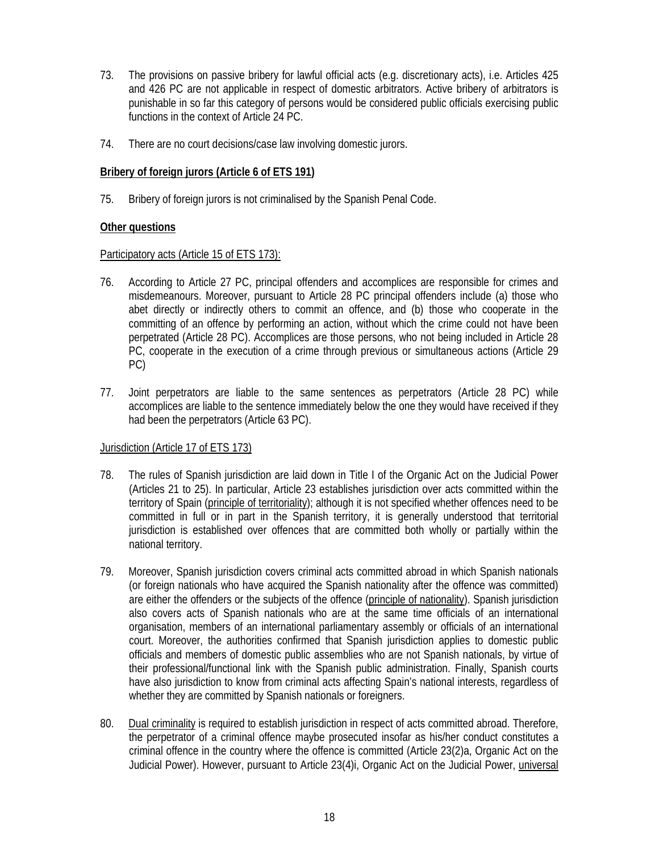- 73. The provisions on passive bribery for lawful official acts (e.g. discretionary acts), i.e. Articles 425 and 426 PC are not applicable in respect of domestic arbitrators. Active bribery of arbitrators is punishable in so far this category of persons would be considered public officials exercising public functions in the context of Article 24 PC.
- 74. There are no court decisions/case law involving domestic jurors.

### **Bribery of foreign jurors (Article 6 of ETS 191)**

75. Bribery of foreign jurors is not criminalised by the Spanish Penal Code.

### **Other questions**

#### Participatory acts (Article 15 of ETS 173):

- 76. According to Article 27 PC, principal offenders and accomplices are responsible for crimes and misdemeanours. Moreover, pursuant to Article 28 PC principal offenders include (a) those who abet directly or indirectly others to commit an offence, and (b) those who cooperate in the committing of an offence by performing an action, without which the crime could not have been perpetrated (Article 28 PC). Accomplices are those persons, who not being included in Article 28 PC, cooperate in the execution of a crime through previous or simultaneous actions (Article 29 PC)
- 77. Joint perpetrators are liable to the same sentences as perpetrators (Article 28 PC) while accomplices are liable to the sentence immediately below the one they would have received if they had been the perpetrators (Article 63 PC).

# Jurisdiction (Article 17 of ETS 173)

- 78. The rules of Spanish jurisdiction are laid down in Title I of the Organic Act on the Judicial Power (Articles 21 to 25). In particular, Article 23 establishes jurisdiction over acts committed within the territory of Spain (principle of territoriality); although it is not specified whether offences need to be committed in full or in part in the Spanish territory, it is generally understood that territorial jurisdiction is established over offences that are committed both wholly or partially within the national territory.
- 79. Moreover, Spanish jurisdiction covers criminal acts committed abroad in which Spanish nationals (or foreign nationals who have acquired the Spanish nationality after the offence was committed) are either the offenders or the subjects of the offence (principle of nationality). Spanish jurisdiction also covers acts of Spanish nationals who are at the same time officials of an international organisation, members of an international parliamentary assembly or officials of an international court. Moreover, the authorities confirmed that Spanish jurisdiction applies to domestic public officials and members of domestic public assemblies who are not Spanish nationals, by virtue of their professional/functional link with the Spanish public administration. Finally, Spanish courts have also jurisdiction to know from criminal acts affecting Spain's national interests, regardless of whether they are committed by Spanish nationals or foreigners.
- 80. Dual criminality is required to establish jurisdiction in respect of acts committed abroad. Therefore, the perpetrator of a criminal offence maybe prosecuted insofar as his/her conduct constitutes a criminal offence in the country where the offence is committed (Article 23(2)a, Organic Act on the Judicial Power). However, pursuant to Article 23(4)i, Organic Act on the Judicial Power, universal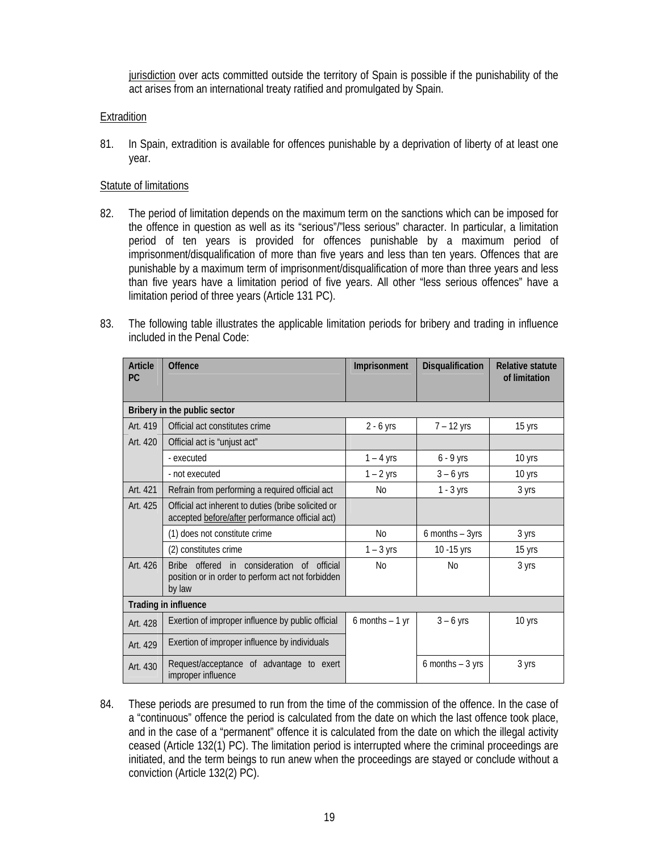jurisdiction over acts committed outside the territory of Spain is possible if the punishability of the act arises from an international treaty ratified and promulgated by Spain.

### Extradition

81. In Spain, extradition is available for offences punishable by a deprivation of liberty of at least one year.

#### Statute of limitations

- 82. The period of limitation depends on the maximum term on the sanctions which can be imposed for the offence in question as well as its "serious"/"less serious" character. In particular, a limitation period of ten years is provided for offences punishable by a maximum period of imprisonment/disqualification of more than five years and less than ten years. Offences that are punishable by a maximum term of imprisonment/disqualification of more than three years and less than five years have a limitation period of five years. All other "less serious offences" have a limitation period of three years (Article 131 PC).
- 83. The following table illustrates the applicable limitation periods for bribery and trading in influence included in the Penal Code:

| <b>Article</b><br><b>PC</b>  | <b>Offence</b>                                                                                                                  | Imprisonment     | Disqualification    | <b>Relative statute</b><br>of limitation |  |  |  |
|------------------------------|---------------------------------------------------------------------------------------------------------------------------------|------------------|---------------------|------------------------------------------|--|--|--|
| Bribery in the public sector |                                                                                                                                 |                  |                     |                                          |  |  |  |
| Art. 419                     | Official act constitutes crime                                                                                                  | $2 - 6$ yrs      | $7 - 12$ yrs        | 15 yrs                                   |  |  |  |
| Art. 420                     | Official act is "unjust act"                                                                                                    |                  |                     |                                          |  |  |  |
|                              | - executed                                                                                                                      | $1 - 4$ yrs      | $6 - 9$ yrs         | 10 yrs                                   |  |  |  |
|                              | - not executed                                                                                                                  | $1 - 2$ yrs      | $3 - 6$ yrs         | 10 yrs                                   |  |  |  |
| Art. 421                     | Refrain from performing a required official act                                                                                 | N <sub>0</sub>   | $1 - 3$ yrs         | 3 yrs                                    |  |  |  |
| Art. 425                     | Official act inherent to duties (bribe solicited or<br>accepted before/after performance official act)                          |                  |                     |                                          |  |  |  |
|                              | (1) does not constitute crime                                                                                                   | N <sub>0</sub>   | $6$ months $-$ 3yrs | 3 yrs                                    |  |  |  |
|                              | (2) constitutes crime                                                                                                           | $1 - 3$ yrs      | 10 - 15 yrs         | 15 yrs                                   |  |  |  |
| Art. 426                     | offered in consideration<br><b>Bribe</b><br>official<br>$\Omega$<br>position or in order to perform act not forbidden<br>by law | <b>No</b>        | <b>No</b>           | 3 yrs                                    |  |  |  |
| Trading in influence         |                                                                                                                                 |                  |                     |                                          |  |  |  |
| Art. 428                     | Exertion of improper influence by public official                                                                               | 6 months $-1$ yr | $3 - 6$ yrs         | 10 yrs                                   |  |  |  |
| Art. 429                     | Exertion of improper influence by individuals                                                                                   |                  |                     |                                          |  |  |  |
| Art. 430                     | Request/acceptance of advantage to exert<br>improper influence                                                                  |                  | 6 months $-3$ yrs   | 3 yrs                                    |  |  |  |

84. These periods are presumed to run from the time of the commission of the offence. In the case of a "continuous" offence the period is calculated from the date on which the last offence took place, and in the case of a "permanent" offence it is calculated from the date on which the illegal activity ceased (Article 132(1) PC). The limitation period is interrupted where the criminal proceedings are initiated, and the term beings to run anew when the proceedings are stayed or conclude without a conviction (Article 132(2) PC).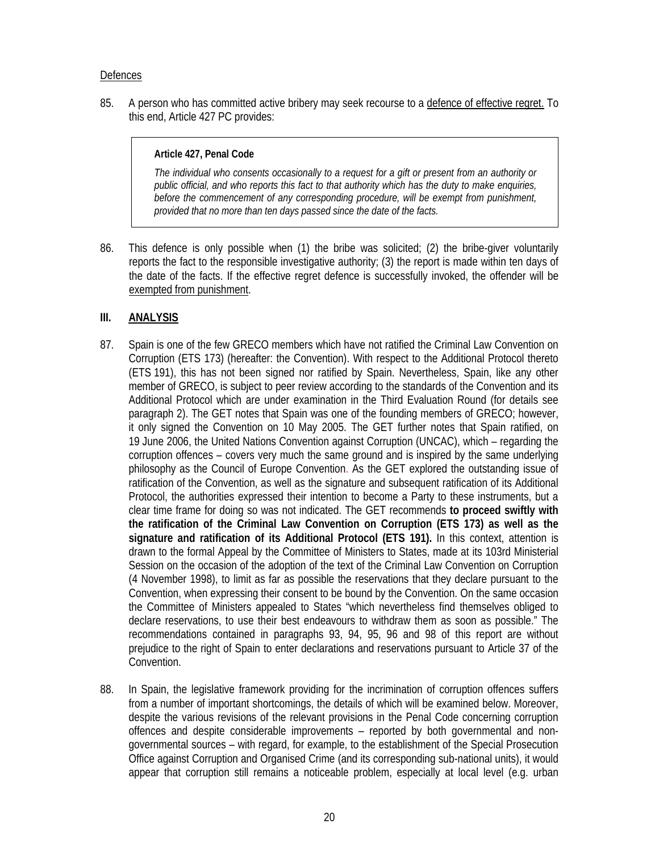#### **Defences**

85. A person who has committed active bribery may seek recourse to a defence of effective regret. To this end, Article 427 PC provides:

#### **Article 427, Penal Code**

*The individual who consents occasionally to a request for a gift or present from an authority or public official, and who reports this fact to that authority which has the duty to make enquiries, before the commencement of any corresponding procedure, will be exempt from punishment, provided that no more than ten days passed since the date of the facts.* 

86. This defence is only possible when (1) the bribe was solicited; (2) the bribe-giver voluntarily reports the fact to the responsible investigative authority; (3) the report is made within ten days of the date of the facts. If the effective regret defence is successfully invoked, the offender will be exempted from punishment.

### **III. ANALYSIS**

- 87. Spain is one of the few GRECO members which have not ratified the Criminal Law Convention on Corruption (ETS 173) (hereafter: the Convention). With respect to the Additional Protocol thereto (ETS 191), this has not been signed nor ratified by Spain. Nevertheless, Spain, like any other member of GRECO, is subject to peer review according to the standards of the Convention and its Additional Protocol which are under examination in the Third Evaluation Round (for details see paragraph 2). The GET notes that Spain was one of the founding members of GRECO; however, it only signed the Convention on 10 May 2005. The GET further notes that Spain ratified, on 19 June 2006, the United Nations Convention against Corruption (UNCAC), which – regarding the corruption offences – covers very much the same ground and is inspired by the same underlying philosophy as the Council of Europe Convention. As the GET explored the outstanding issue of ratification of the Convention, as well as the signature and subsequent ratification of its Additional Protocol, the authorities expressed their intention to become a Party to these instruments, but a clear time frame for doing so was not indicated. The GET recommends **to proceed swiftly with the ratification of the Criminal Law Convention on Corruption (ETS 173) as well as the signature and ratification of its Additional Protocol (ETS 191).** In this context, attention is drawn to the formal Appeal by the Committee of Ministers to States, made at its 103rd Ministerial Session on the occasion of the adoption of the text of the Criminal Law Convention on Corruption (4 November 1998), to limit as far as possible the reservations that they declare pursuant to the Convention, when expressing their consent to be bound by the Convention. On the same occasion the Committee of Ministers appealed to States "which nevertheless find themselves obliged to declare reservations, to use their best endeavours to withdraw them as soon as possible." The recommendations contained in paragraphs 93, 94, 95, 96 and 98 of this report are without prejudice to the right of Spain to enter declarations and reservations pursuant to Article 37 of the Convention.
- 88. In Spain, the legislative framework providing for the incrimination of corruption offences suffers from a number of important shortcomings, the details of which will be examined below. Moreover, despite the various revisions of the relevant provisions in the Penal Code concerning corruption offences and despite considerable improvements – reported by both governmental and nongovernmental sources – with regard, for example, to the establishment of the Special Prosecution Office against Corruption and Organised Crime (and its corresponding sub-national units), it would appear that corruption still remains a noticeable problem, especially at local level (e.g. urban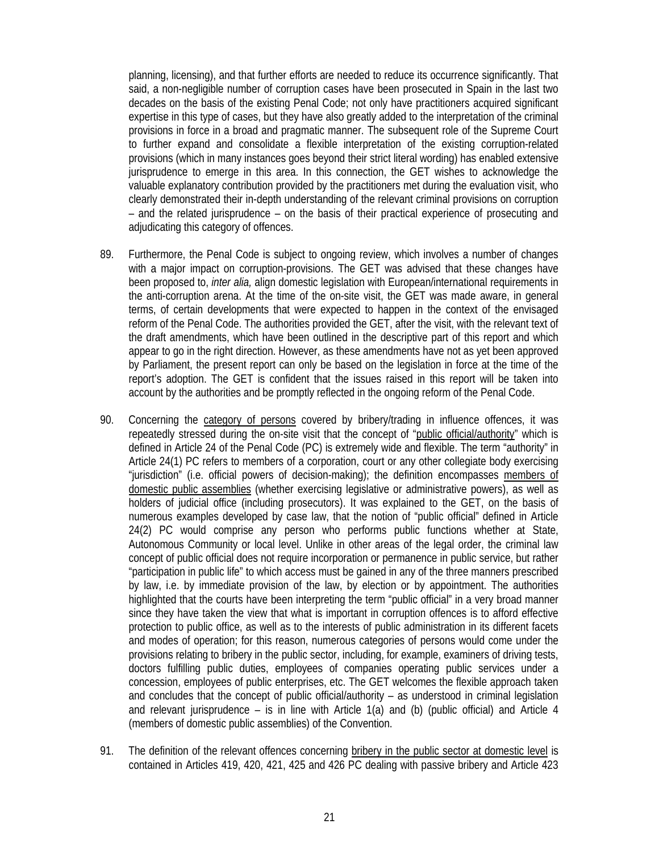planning, licensing), and that further efforts are needed to reduce its occurrence significantly. That said, a non-negligible number of corruption cases have been prosecuted in Spain in the last two decades on the basis of the existing Penal Code; not only have practitioners acquired significant expertise in this type of cases, but they have also greatly added to the interpretation of the criminal provisions in force in a broad and pragmatic manner. The subsequent role of the Supreme Court to further expand and consolidate a flexible interpretation of the existing corruption-related provisions (which in many instances goes beyond their strict literal wording) has enabled extensive jurisprudence to emerge in this area. In this connection, the GET wishes to acknowledge the valuable explanatory contribution provided by the practitioners met during the evaluation visit, who clearly demonstrated their in-depth understanding of the relevant criminal provisions on corruption – and the related jurisprudence – on the basis of their practical experience of prosecuting and adjudicating this category of offences.

- 89. Furthermore, the Penal Code is subject to ongoing review, which involves a number of changes with a major impact on corruption-provisions. The GET was advised that these changes have been proposed to, *inter alia,* align domestic legislation with European/international requirements in the anti-corruption arena. At the time of the on-site visit, the GET was made aware, in general terms, of certain developments that were expected to happen in the context of the envisaged reform of the Penal Code. The authorities provided the GET, after the visit, with the relevant text of the draft amendments, which have been outlined in the descriptive part of this report and which appear to go in the right direction. However, as these amendments have not as yet been approved by Parliament, the present report can only be based on the legislation in force at the time of the report's adoption. The GET is confident that the issues raised in this report will be taken into account by the authorities and be promptly reflected in the ongoing reform of the Penal Code.
- 90. Concerning the category of persons covered by bribery/trading in influence offences, it was repeatedly stressed during the on-site visit that the concept of "public official/authority" which is defined in Article 24 of the Penal Code (PC) is extremely wide and flexible. The term "authority" in Article 24(1) PC refers to members of a corporation, court or any other collegiate body exercising "jurisdiction" (i.e. official powers of decision-making); the definition encompasses members of domestic public assemblies (whether exercising legislative or administrative powers), as well as holders of judicial office (including prosecutors). It was explained to the GET, on the basis of numerous examples developed by case law, that the notion of "public official" defined in Article 24(2) PC would comprise any person who performs public functions whether at State, Autonomous Community or local level. Unlike in other areas of the legal order, the criminal law concept of public official does not require incorporation or permanence in public service, but rather "participation in public life" to which access must be gained in any of the three manners prescribed by law, i.e. by immediate provision of the law, by election or by appointment. The authorities highlighted that the courts have been interpreting the term "public official" in a very broad manner since they have taken the view that what is important in corruption offences is to afford effective protection to public office, as well as to the interests of public administration in its different facets and modes of operation; for this reason, numerous categories of persons would come under the provisions relating to bribery in the public sector, including, for example, examiners of driving tests, doctors fulfilling public duties, employees of companies operating public services under a concession, employees of public enterprises, etc. The GET welcomes the flexible approach taken and concludes that the concept of public official/authority – as understood in criminal legislation and relevant jurisprudence – is in line with Article  $1(a)$  and (b) (public official) and Article 4 (members of domestic public assemblies) of the Convention.
- 91. The definition of the relevant offences concerning bribery in the public sector at domestic level is contained in Articles 419, 420, 421, 425 and 426 PC dealing with passive bribery and Article 423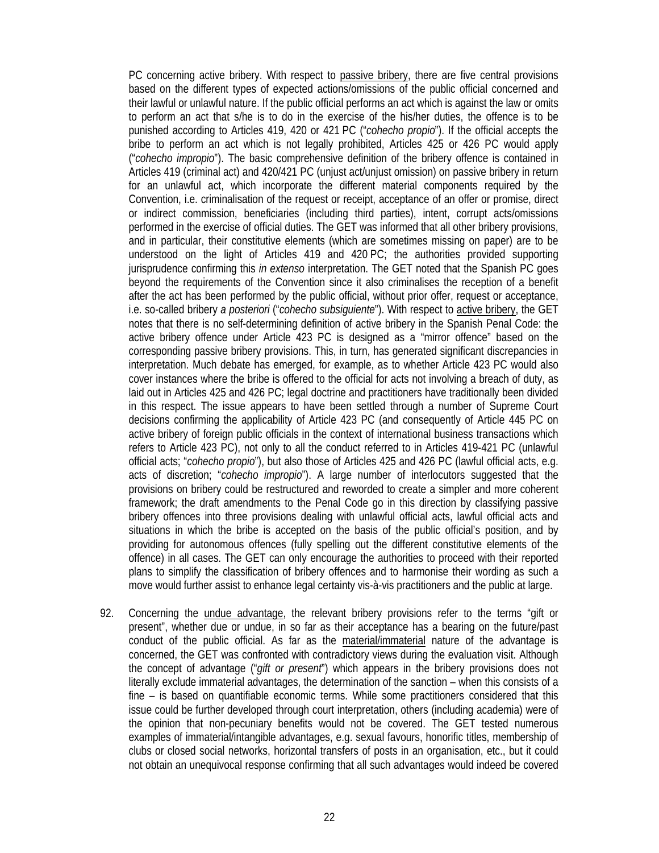PC concerning active bribery. With respect to passive bribery, there are five central provisions based on the different types of expected actions/omissions of the public official concerned and their lawful or unlawful nature. If the public official performs an act which is against the law or omits to perform an act that s/he is to do in the exercise of the his/her duties, the offence is to be punished according to Articles 419, 420 or 421 PC ("*cohecho propio*"). If the official accepts the bribe to perform an act which is not legally prohibited, Articles 425 or 426 PC would apply ("*cohecho impropio*"). The basic comprehensive definition of the bribery offence is contained in Articles 419 (criminal act) and 420/421 PC (unjust act/unjust omission) on passive bribery in return for an unlawful act, which incorporate the different material components required by the Convention, i.e. criminalisation of the request or receipt, acceptance of an offer or promise, direct or indirect commission, beneficiaries (including third parties), intent, corrupt acts/omissions performed in the exercise of official duties. The GET was informed that all other bribery provisions, and in particular, their constitutive elements (which are sometimes missing on paper) are to be understood on the light of Articles 419 and 420 PC; the authorities provided supporting jurisprudence confirming this *in extenso* interpretation. The GET noted that the Spanish PC goes beyond the requirements of the Convention since it also criminalises the reception of a benefit after the act has been performed by the public official, without prior offer, request or acceptance, i.e. so-called bribery *a posteriori* ("*cohecho subsiguiente*"). With respect to active bribery, the GET notes that there is no self-determining definition of active bribery in the Spanish Penal Code: the active bribery offence under Article 423 PC is designed as a "mirror offence" based on the corresponding passive bribery provisions. This, in turn, has generated significant discrepancies in interpretation. Much debate has emerged, for example, as to whether Article 423 PC would also cover instances where the bribe is offered to the official for acts not involving a breach of duty, as laid out in Articles 425 and 426 PC; legal doctrine and practitioners have traditionally been divided in this respect. The issue appears to have been settled through a number of Supreme Court decisions confirming the applicability of Article 423 PC (and consequently of Article 445 PC on active bribery of foreign public officials in the context of international business transactions which refers to Article 423 PC), not only to all the conduct referred to in Articles 419-421 PC (unlawful official acts; "*cohecho propio*"), but also those of Articles 425 and 426 PC (lawful official acts, e.g. acts of discretion; "*cohecho impropio*"). A large number of interlocutors suggested that the provisions on bribery could be restructured and reworded to create a simpler and more coherent framework; the draft amendments to the Penal Code go in this direction by classifying passive bribery offences into three provisions dealing with unlawful official acts, lawful official acts and situations in which the bribe is accepted on the basis of the public official's position, and by providing for autonomous offences (fully spelling out the different constitutive elements of the offence) in all cases. The GET can only encourage the authorities to proceed with their reported plans to simplify the classification of bribery offences and to harmonise their wording as such a move would further assist to enhance legal certainty vis-à-vis practitioners and the public at large.

92. Concerning the undue advantage, the relevant bribery provisions refer to the terms "gift or present", whether due or undue, in so far as their acceptance has a bearing on the future/past conduct of the public official. As far as the material/immaterial nature of the advantage is concerned, the GET was confronted with contradictory views during the evaluation visit. Although the concept of advantage ("*gift or present*") which appears in the bribery provisions does not literally exclude immaterial advantages, the determination of the sanction – when this consists of a fine – is based on quantifiable economic terms. While some practitioners considered that this issue could be further developed through court interpretation, others (including academia) were of the opinion that non-pecuniary benefits would not be covered. The GET tested numerous examples of immaterial/intangible advantages, e.g. sexual favours, honorific titles, membership of clubs or closed social networks, horizontal transfers of posts in an organisation, etc., but it could not obtain an unequivocal response confirming that all such advantages would indeed be covered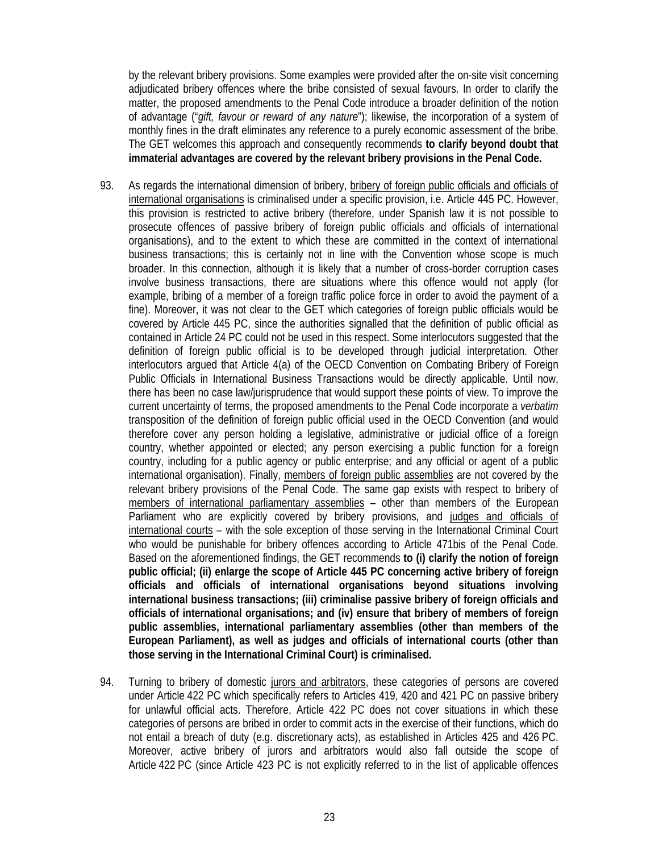by the relevant bribery provisions. Some examples were provided after the on-site visit concerning adjudicated bribery offences where the bribe consisted of sexual favours. In order to clarify the matter, the proposed amendments to the Penal Code introduce a broader definition of the notion of advantage ("*gift, favour or reward of any nature*"); likewise, the incorporation of a system of monthly fines in the draft eliminates any reference to a purely economic assessment of the bribe. The GET welcomes this approach and consequently recommends **to clarify beyond doubt that immaterial advantages are covered by the relevant bribery provisions in the Penal Code.**

- 93. As regards the international dimension of bribery, bribery of foreign public officials and officials of international organisations is criminalised under a specific provision, i.e. Article 445 PC. However, this provision is restricted to active bribery (therefore, under Spanish law it is not possible to prosecute offences of passive bribery of foreign public officials and officials of international organisations), and to the extent to which these are committed in the context of international business transactions; this is certainly not in line with the Convention whose scope is much broader. In this connection, although it is likely that a number of cross-border corruption cases involve business transactions, there are situations where this offence would not apply (for example, bribing of a member of a foreign traffic police force in order to avoid the payment of a fine). Moreover, it was not clear to the GET which categories of foreign public officials would be covered by Article 445 PC, since the authorities signalled that the definition of public official as contained in Article 24 PC could not be used in this respect. Some interlocutors suggested that the definition of foreign public official is to be developed through judicial interpretation. Other interlocutors argued that Article 4(a) of the OECD Convention on Combating Bribery of Foreign Public Officials in International Business Transactions would be directly applicable. Until now, there has been no case law/jurisprudence that would support these points of view. To improve the current uncertainty of terms, the proposed amendments to the Penal Code incorporate a *verbatim* transposition of the definition of foreign public official used in the OECD Convention (and would therefore cover any person holding a legislative, administrative or judicial office of a foreign country, whether appointed or elected; any person exercising a public function for a foreign country, including for a public agency or public enterprise; and any official or agent of a public international organisation). Finally, members of foreign public assemblies are not covered by the relevant bribery provisions of the Penal Code. The same gap exists with respect to bribery of members of international parliamentary assemblies – other than members of the European Parliament who are explicitly covered by bribery provisions, and judges and officials of international courts – with the sole exception of those serving in the International Criminal Court who would be punishable for bribery offences according to Article 471bis of the Penal Code. Based on the aforementioned findings, the GET recommends **to (i) clarify the notion of foreign public official; (ii) enlarge the scope of Article 445 PC concerning active bribery of foreign officials and officials of international organisations beyond situations involving international business transactions; (iii) criminalise passive bribery of foreign officials and officials of international organisations; and (iv) ensure that bribery of members of foreign public assemblies, international parliamentary assemblies (other than members of the European Parliament), as well as judges and officials of international courts (other than those serving in the International Criminal Court) is criminalised.**
- 94. Turning to bribery of domestic jurors and arbitrators, these categories of persons are covered under Article 422 PC which specifically refers to Articles 419, 420 and 421 PC on passive bribery for unlawful official acts. Therefore, Article 422 PC does not cover situations in which these categories of persons are bribed in order to commit acts in the exercise of their functions, which do not entail a breach of duty (e.g. discretionary acts), as established in Articles 425 and 426 PC. Moreover, active bribery of jurors and arbitrators would also fall outside the scope of Article 422 PC (since Article 423 PC is not explicitly referred to in the list of applicable offences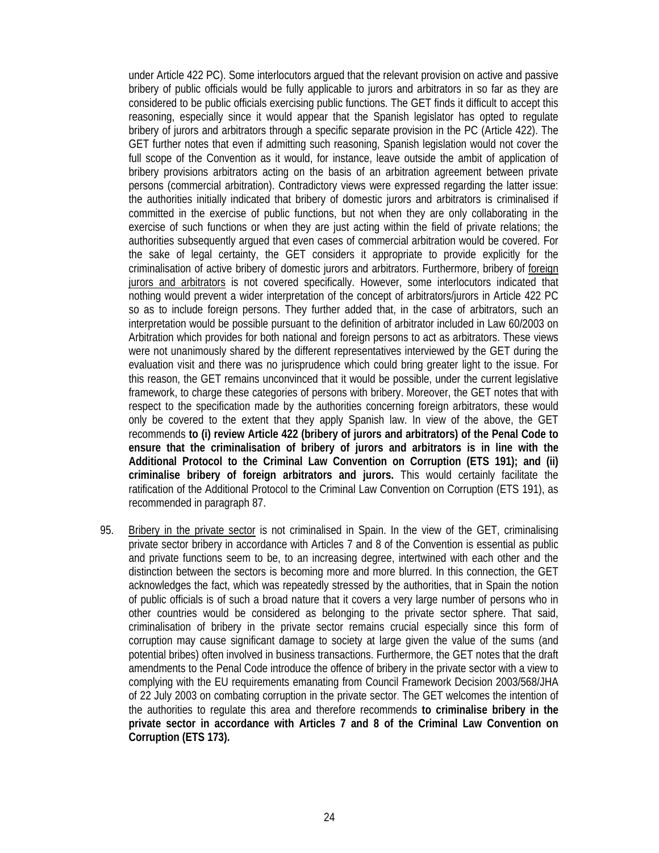under Article 422 PC). Some interlocutors argued that the relevant provision on active and passive bribery of public officials would be fully applicable to jurors and arbitrators in so far as they are considered to be public officials exercising public functions. The GET finds it difficult to accept this reasoning, especially since it would appear that the Spanish legislator has opted to regulate bribery of jurors and arbitrators through a specific separate provision in the PC (Article 422). The GET further notes that even if admitting such reasoning, Spanish legislation would not cover the full scope of the Convention as it would, for instance, leave outside the ambit of application of bribery provisions arbitrators acting on the basis of an arbitration agreement between private persons (commercial arbitration). Contradictory views were expressed regarding the latter issue: the authorities initially indicated that bribery of domestic jurors and arbitrators is criminalised if committed in the exercise of public functions, but not when they are only collaborating in the exercise of such functions or when they are just acting within the field of private relations; the authorities subsequently argued that even cases of commercial arbitration would be covered. For the sake of legal certainty, the GET considers it appropriate to provide explicitly for the criminalisation of active bribery of domestic jurors and arbitrators. Furthermore, bribery of foreign jurors and arbitrators is not covered specifically. However, some interlocutors indicated that nothing would prevent a wider interpretation of the concept of arbitrators/jurors in Article 422 PC so as to include foreign persons. They further added that, in the case of arbitrators, such an interpretation would be possible pursuant to the definition of arbitrator included in Law 60/2003 on Arbitration which provides for both national and foreign persons to act as arbitrators. These views were not unanimously shared by the different representatives interviewed by the GET during the evaluation visit and there was no jurisprudence which could bring greater light to the issue. For this reason, the GET remains unconvinced that it would be possible, under the current legislative framework, to charge these categories of persons with bribery. Moreover, the GET notes that with respect to the specification made by the authorities concerning foreign arbitrators, these would only be covered to the extent that they apply Spanish law. In view of the above, the GET recommends **to (i) review Article 422 (bribery of jurors and arbitrators) of the Penal Code to ensure that the criminalisation of bribery of jurors and arbitrators is in line with the Additional Protocol to the Criminal Law Convention on Corruption (ETS 191); and (ii) criminalise bribery of foreign arbitrators and jurors.** This would certainly facilitate the ratification of the Additional Protocol to the Criminal Law Convention on Corruption (ETS 191), as recommended in paragraph 87.

95. Bribery in the private sector is not criminalised in Spain. In the view of the GET, criminalising private sector bribery in accordance with Articles 7 and 8 of the Convention is essential as public and private functions seem to be, to an increasing degree, intertwined with each other and the distinction between the sectors is becoming more and more blurred. In this connection, the GET acknowledges the fact, which was repeatedly stressed by the authorities, that in Spain the notion of public officials is of such a broad nature that it covers a very large number of persons who in other countries would be considered as belonging to the private sector sphere. That said, criminalisation of bribery in the private sector remains crucial especially since this form of corruption may cause significant damage to society at large given the value of the sums (and potential bribes) often involved in business transactions. Furthermore, the GET notes that the draft amendments to the Penal Code introduce the offence of bribery in the private sector with a view to complying with the EU requirements emanating from Council Framework Decision 2003/568/JHA of 22 July 2003 on combating corruption in the private sector. The GET welcomes the intention of the authorities to regulate this area and therefore recommends **to criminalise bribery in the private sector in accordance with Articles 7 and 8 of the Criminal Law Convention on Corruption (ETS 173).**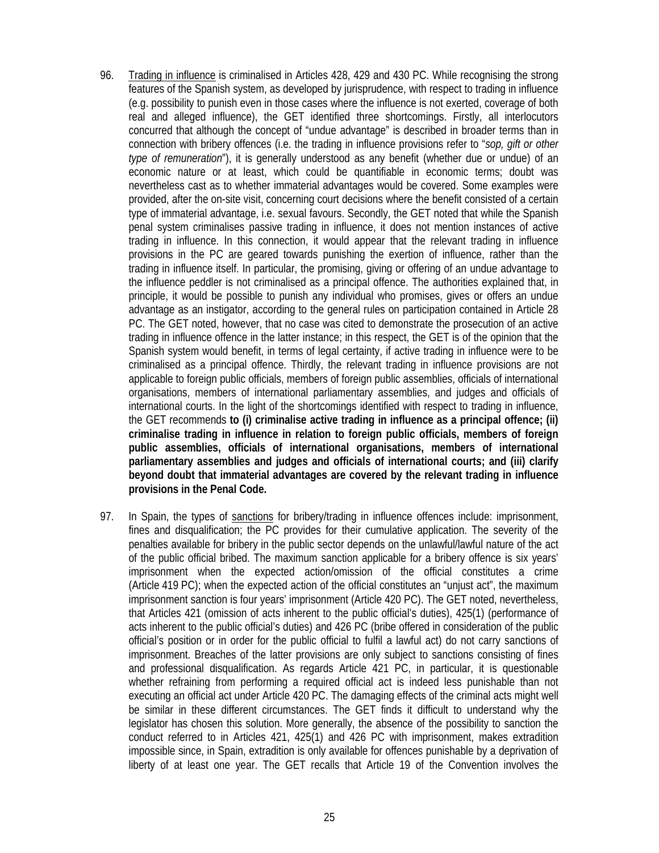- 96. Trading in influence is criminalised in Articles 428, 429 and 430 PC. While recognising the strong features of the Spanish system, as developed by jurisprudence, with respect to trading in influence (e.g. possibility to punish even in those cases where the influence is not exerted, coverage of both real and alleged influence), the GET identified three shortcomings. Firstly, all interlocutors concurred that although the concept of "undue advantage" is described in broader terms than in connection with bribery offences (i.e. the trading in influence provisions refer to "*sop, gift or other type of remuneration*"), it is generally understood as any benefit (whether due or undue) of an economic nature or at least, which could be quantifiable in economic terms; doubt was nevertheless cast as to whether immaterial advantages would be covered. Some examples were provided, after the on-site visit, concerning court decisions where the benefit consisted of a certain type of immaterial advantage, i.e. sexual favours. Secondly, the GET noted that while the Spanish penal system criminalises passive trading in influence, it does not mention instances of active trading in influence. In this connection, it would appear that the relevant trading in influence provisions in the PC are geared towards punishing the exertion of influence, rather than the trading in influence itself. In particular, the promising, giving or offering of an undue advantage to the influence peddler is not criminalised as a principal offence. The authorities explained that, in principle, it would be possible to punish any individual who promises, gives or offers an undue advantage as an instigator, according to the general rules on participation contained in Article 28 PC. The GET noted, however, that no case was cited to demonstrate the prosecution of an active trading in influence offence in the latter instance; in this respect, the GET is of the opinion that the Spanish system would benefit, in terms of legal certainty, if active trading in influence were to be criminalised as a principal offence. Thirdly, the relevant trading in influence provisions are not applicable to foreign public officials, members of foreign public assemblies, officials of international organisations, members of international parliamentary assemblies, and judges and officials of international courts. In the light of the shortcomings identified with respect to trading in influence, the GET recommends **to (i) criminalise active trading in influence as a principal offence; (ii) criminalise trading in influence in relation to foreign public officials, members of foreign public assemblies, officials of international organisations, members of international parliamentary assemblies and judges and officials of international courts; and (iii) clarify beyond doubt that immaterial advantages are covered by the relevant trading in influence provisions in the Penal Code.**
- 97. In Spain, the types of sanctions for bribery/trading in influence offences include: imprisonment, fines and disqualification; the PC provides for their cumulative application. The severity of the penalties available for bribery in the public sector depends on the unlawful/lawful nature of the act of the public official bribed. The maximum sanction applicable for a bribery offence is six years' imprisonment when the expected action/omission of the official constitutes a crime (Article 419 PC); when the expected action of the official constitutes an "unjust act", the maximum imprisonment sanction is four years' imprisonment (Article 420 PC). The GET noted, nevertheless, that Articles 421 (omission of acts inherent to the public official's duties), 425(1) (performance of acts inherent to the public official's duties) and 426 PC (bribe offered in consideration of the public official's position or in order for the public official to fulfil a lawful act) do not carry sanctions of imprisonment. Breaches of the latter provisions are only subject to sanctions consisting of fines and professional disqualification. As regards Article 421 PC, in particular, it is questionable whether refraining from performing a required official act is indeed less punishable than not executing an official act under Article 420 PC. The damaging effects of the criminal acts might well be similar in these different circumstances. The GET finds it difficult to understand why the legislator has chosen this solution. More generally, the absence of the possibility to sanction the conduct referred to in Articles 421, 425(1) and 426 PC with imprisonment, makes extradition impossible since, in Spain, extradition is only available for offences punishable by a deprivation of liberty of at least one year. The GET recalls that Article 19 of the Convention involves the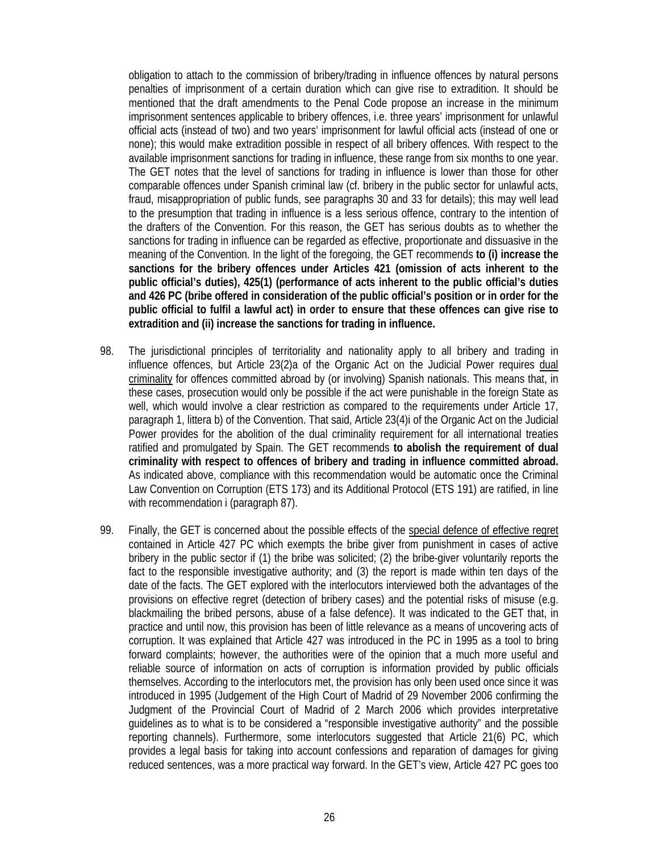obligation to attach to the commission of bribery/trading in influence offences by natural persons penalties of imprisonment of a certain duration which can give rise to extradition. It should be mentioned that the draft amendments to the Penal Code propose an increase in the minimum imprisonment sentences applicable to bribery offences, i.e. three years' imprisonment for unlawful official acts (instead of two) and two years' imprisonment for lawful official acts (instead of one or none); this would make extradition possible in respect of all bribery offences. With respect to the available imprisonment sanctions for trading in influence, these range from six months to one year. The GET notes that the level of sanctions for trading in influence is lower than those for other comparable offences under Spanish criminal law (cf. bribery in the public sector for unlawful acts, fraud, misappropriation of public funds, see paragraphs 30 and 33 for details); this may well lead to the presumption that trading in influence is a less serious offence, contrary to the intention of the drafters of the Convention. For this reason, the GET has serious doubts as to whether the sanctions for trading in influence can be regarded as effective, proportionate and dissuasive in the meaning of the Convention. In the light of the foregoing, the GET recommends **to (i) increase the sanctions for the bribery offences under Articles 421 (omission of acts inherent to the public official's duties), 425(1) (performance of acts inherent to the public official's duties and 426 PC (bribe offered in consideration of the public official's position or in order for the public official to fulfil a lawful act) in order to ensure that these offences can give rise to extradition and (ii) increase the sanctions for trading in influence.** 

- 98. The jurisdictional principles of territoriality and nationality apply to all bribery and trading in influence offences, but Article 23(2)a of the Organic Act on the Judicial Power requires dual criminality for offences committed abroad by (or involving) Spanish nationals. This means that, in these cases, prosecution would only be possible if the act were punishable in the foreign State as well, which would involve a clear restriction as compared to the requirements under Article 17, paragraph 1, littera b) of the Convention. That said, Article 23(4)i of the Organic Act on the Judicial Power provides for the abolition of the dual criminality requirement for all international treaties ratified and promulgated by Spain. The GET recommends **to abolish the requirement of dual criminality with respect to offences of bribery and trading in influence committed abroad.**  As indicated above, compliance with this recommendation would be automatic once the Criminal Law Convention on Corruption (ETS 173) and its Additional Protocol (ETS 191) are ratified, in line with recommendation i (paragraph 87).
- 99. Finally, the GET is concerned about the possible effects of the special defence of effective regret contained in Article 427 PC which exempts the bribe giver from punishment in cases of active bribery in the public sector if (1) the bribe was solicited; (2) the bribe-giver voluntarily reports the fact to the responsible investigative authority; and (3) the report is made within ten days of the date of the facts. The GET explored with the interlocutors interviewed both the advantages of the provisions on effective regret (detection of bribery cases) and the potential risks of misuse (e.g. blackmailing the bribed persons, abuse of a false defence). It was indicated to the GET that, in practice and until now, this provision has been of little relevance as a means of uncovering acts of corruption. It was explained that Article 427 was introduced in the PC in 1995 as a tool to bring forward complaints; however, the authorities were of the opinion that a much more useful and reliable source of information on acts of corruption is information provided by public officials themselves. According to the interlocutors met, the provision has only been used once since it was introduced in 1995 (Judgement of the High Court of Madrid of 29 November 2006 confirming the Judgment of the Provincial Court of Madrid of 2 March 2006 which provides interpretative guidelines as to what is to be considered a "responsible investigative authority" and the possible reporting channels). Furthermore, some interlocutors suggested that Article 21(6) PC, which provides a legal basis for taking into account confessions and reparation of damages for giving reduced sentences, was a more practical way forward. In the GET's view, Article 427 PC goes too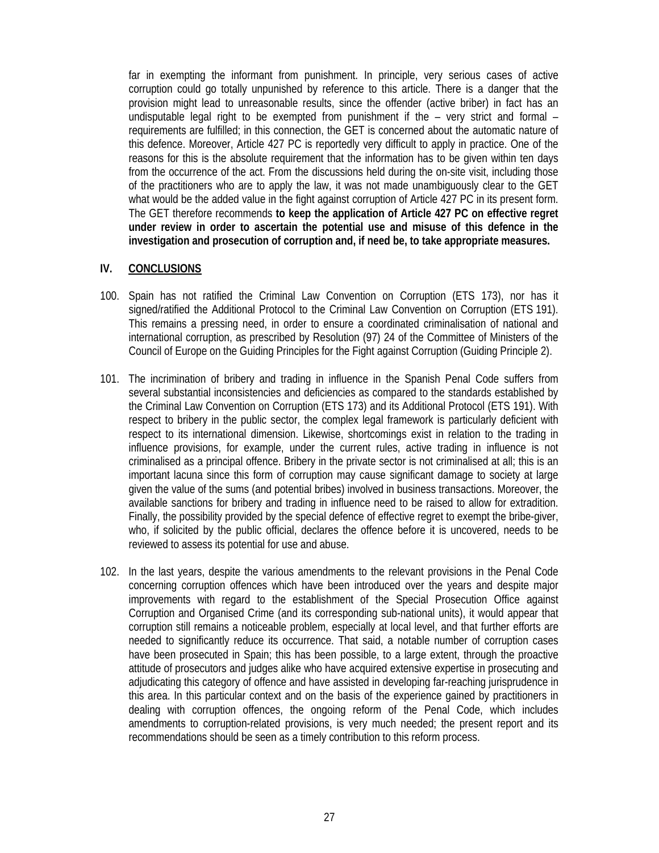far in exempting the informant from punishment. In principle, very serious cases of active corruption could go totally unpunished by reference to this article. There is a danger that the provision might lead to unreasonable results, since the offender (active briber) in fact has an undisputable legal right to be exempted from punishment if the  $-$  very strict and formal  $$ requirements are fulfilled; in this connection, the GET is concerned about the automatic nature of this defence. Moreover, Article 427 PC is reportedly very difficult to apply in practice. One of the reasons for this is the absolute requirement that the information has to be given within ten days from the occurrence of the act. From the discussions held during the on-site visit, including those of the practitioners who are to apply the law, it was not made unambiguously clear to the GET what would be the added value in the fight against corruption of Article 427 PC in its present form. The GET therefore recommends **to keep the application of Article 427 PC on effective regret under review in order to ascertain the potential use and misuse of this defence in the investigation and prosecution of corruption and, if need be, to take appropriate measures.**

### **IV. CONCLUSIONS**

- 100. Spain has not ratified the Criminal Law Convention on Corruption (ETS 173), nor has it signed/ratified the Additional Protocol to the Criminal Law Convention on Corruption (ETS 191). This remains a pressing need, in order to ensure a coordinated criminalisation of national and international corruption, as prescribed by Resolution (97) 24 of the Committee of Ministers of the Council of Europe on the Guiding Principles for the Fight against Corruption (Guiding Principle 2).
- 101. The incrimination of bribery and trading in influence in the Spanish Penal Code suffers from several substantial inconsistencies and deficiencies as compared to the standards established by the Criminal Law Convention on Corruption (ETS 173) and its Additional Protocol (ETS 191). With respect to bribery in the public sector, the complex legal framework is particularly deficient with respect to its international dimension. Likewise, shortcomings exist in relation to the trading in influence provisions, for example, under the current rules, active trading in influence is not criminalised as a principal offence. Bribery in the private sector is not criminalised at all; this is an important lacuna since this form of corruption may cause significant damage to society at large given the value of the sums (and potential bribes) involved in business transactions. Moreover, the available sanctions for bribery and trading in influence need to be raised to allow for extradition. Finally, the possibility provided by the special defence of effective regret to exempt the bribe-giver, who, if solicited by the public official, declares the offence before it is uncovered, needs to be reviewed to assess its potential for use and abuse.
- 102. In the last years, despite the various amendments to the relevant provisions in the Penal Code concerning corruption offences which have been introduced over the years and despite major improvements with regard to the establishment of the Special Prosecution Office against Corruption and Organised Crime (and its corresponding sub-national units), it would appear that corruption still remains a noticeable problem, especially at local level, and that further efforts are needed to significantly reduce its occurrence. That said, a notable number of corruption cases have been prosecuted in Spain; this has been possible, to a large extent, through the proactive attitude of prosecutors and judges alike who have acquired extensive expertise in prosecuting and adjudicating this category of offence and have assisted in developing far-reaching jurisprudence in this area. In this particular context and on the basis of the experience gained by practitioners in dealing with corruption offences, the ongoing reform of the Penal Code, which includes amendments to corruption-related provisions, is very much needed; the present report and its recommendations should be seen as a timely contribution to this reform process.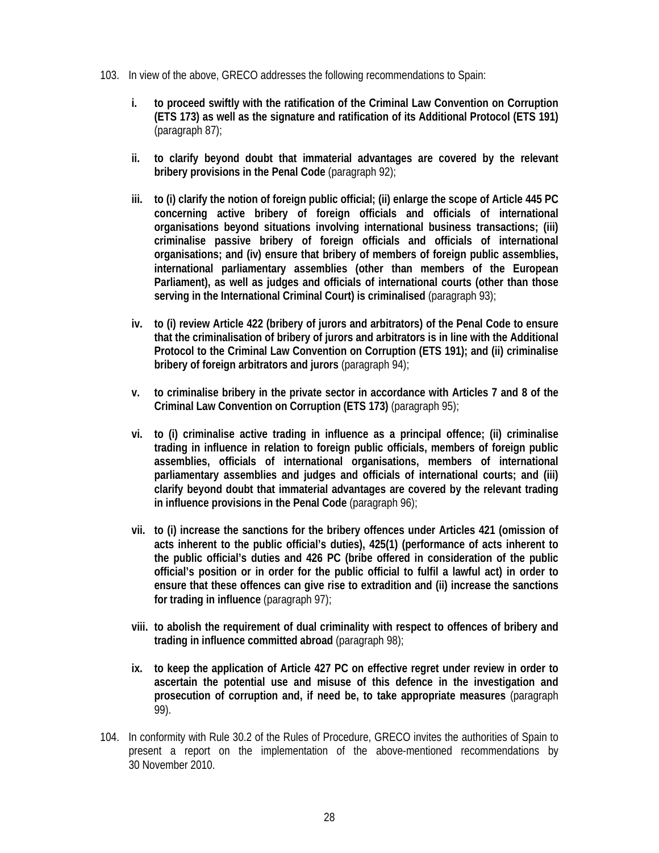- 103. In view of the above, GRECO addresses the following recommendations to Spain:
	- **i. to proceed swiftly with the ratification of the Criminal Law Convention on Corruption (ETS 173) as well as the signature and ratification of its Additional Protocol (ETS 191)**  (paragraph 87);
	- **ii. to clarify beyond doubt that immaterial advantages are covered by the relevant bribery provisions in the Penal Code** (paragraph 92);
	- **iii. to (i) clarify the notion of foreign public official; (ii) enlarge the scope of Article 445 PC concerning active bribery of foreign officials and officials of international organisations beyond situations involving international business transactions; (iii) criminalise passive bribery of foreign officials and officials of international organisations; and (iv) ensure that bribery of members of foreign public assemblies, international parliamentary assemblies (other than members of the European Parliament), as well as judges and officials of international courts (other than those serving in the International Criminal Court) is criminalised** (paragraph 93);
	- **iv. to (i) review Article 422 (bribery of jurors and arbitrators) of the Penal Code to ensure that the criminalisation of bribery of jurors and arbitrators is in line with the Additional Protocol to the Criminal Law Convention on Corruption (ETS 191); and (ii) criminalise bribery of foreign arbitrators and jurors** (paragraph 94);
	- **v. to criminalise bribery in the private sector in accordance with Articles 7 and 8 of the Criminal Law Convention on Corruption (ETS 173)** (paragraph 95);
	- **vi. to (i) criminalise active trading in influence as a principal offence; (ii) criminalise trading in influence in relation to foreign public officials, members of foreign public assemblies, officials of international organisations, members of international parliamentary assemblies and judges and officials of international courts; and (iii) clarify beyond doubt that immaterial advantages are covered by the relevant trading in influence provisions in the Penal Code** (paragraph 96);
	- **vii. to (i) increase the sanctions for the bribery offences under Articles 421 (omission of acts inherent to the public official's duties), 425(1) (performance of acts inherent to the public official's duties and 426 PC (bribe offered in consideration of the public official's position or in order for the public official to fulfil a lawful act) in order to ensure that these offences can give rise to extradition and (ii) increase the sanctions for trading in influence** (paragraph 97);
	- **viii. to abolish the requirement of dual criminality with respect to offences of bribery and trading in influence committed abroad** (paragraph 98);
	- **ix. to keep the application of Article 427 PC on effective regret under review in order to ascertain the potential use and misuse of this defence in the investigation and prosecution of corruption and, if need be, to take appropriate measures** (paragraph 99).
- 104. In conformity with Rule 30.2 of the Rules of Procedure, GRECO invites the authorities of Spain to present a report on the implementation of the above-mentioned recommendations by 30 November 2010.